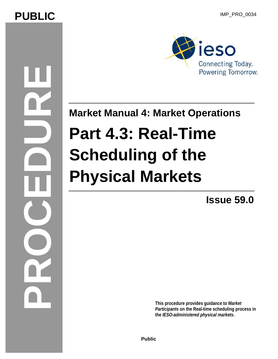## **PUBLIC** IMP\_PRO\_0034

**PROCEDURE** 



**Market Manual 4: Market Operations** 

# **Part 4.3: Real-Time Scheduling of the Physical Markets**

**Issue 59.0**

**This procedure provides guidance to** *Market Participants* **on the Real-time scheduling process in the** *IESO-administered physical markets***.** 

**Public**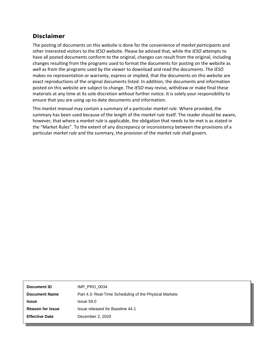#### **Disclaimer**

The posting of documents on this website is done for the convenience of *market participants* and other interested visitors to the *IESO* website. Please be advised that, while the *IESO* attempts to have all posted documents conform to the original, changes can result from the original, including changes resulting from the programs used to format the documents for posting on the website as well as from the programs used by the viewer to download and read the documents. The *IESO*  makes no representation or warranty, express or implied, that the documents on this website are exact reproductions of the original documents listed. In addition, the documents and information posted on this website are subject to change. The *IESO* may revise, withdraw or make final these materials at any time at its sole discretion without further notice. It is solely your responsibility to ensure that you are using up-to-date documents and information.

This *market manual* may contain a summary of a particular *market rule*. Where provided, the summary has been used because of the length of the *market rule* itself. The reader should be aware, however, that where a *market rule* is applicable, the obligation that needs to be met is as stated in the "Market Rules". To the extent of any discrepancy or inconsistency between the provisions of a particular *market rule* and the summary, the provision of the *market rule* shall govern.

| Document ID             | IMP PRO 0034                                           |
|-------------------------|--------------------------------------------------------|
| <b>Document Name</b>    | Part 4.3: Real-Time Scheduling of the Physical Markets |
| <b>Issue</b>            | Issue 59.0                                             |
| <b>Reason for Issue</b> | Issue released for Baseline 44.1                       |
| <b>Effective Date</b>   | December 2, 2020                                       |
|                         |                                                        |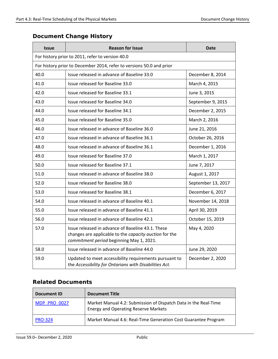### **Document Change History**

| <b>Issue</b>                                     | <b>Reason for Issue</b>                                                                                                                                 | <b>Date</b>        |
|--------------------------------------------------|---------------------------------------------------------------------------------------------------------------------------------------------------------|--------------------|
| For history prior to 2011, refer to version 40.0 |                                                                                                                                                         |                    |
|                                                  | For history prior to December 2014, refer to versions 50.0 and prior                                                                                    |                    |
| 40.0                                             | Issue released in advance of Baseline 33.0                                                                                                              | December 8, 2014   |
| 41.0                                             | Issue released for Baseline 33.0                                                                                                                        | March 4, 2015      |
| 42.0                                             | Issue released for Baseline 33.1                                                                                                                        | June 3, 2015       |
| 43.0                                             | Issue released for Baseline 34.0                                                                                                                        | September 9, 2015  |
| 44.0                                             | Issue released for Baseline 34.1                                                                                                                        | December 2, 2015   |
| 45.0                                             | Issue released for Baseline 35.0                                                                                                                        | March 2, 2016      |
| 46.0                                             | Issue released in advance of Baseline 36.0                                                                                                              | June 21, 2016      |
| 47.0                                             | Issue released in advance of Baseline 36.1                                                                                                              | October 26, 2016   |
| 48.0                                             | Issue released in advance of Baseline 36.1                                                                                                              | December 1, 2016   |
| 49.0                                             | Issue released for Baseline 37.0                                                                                                                        | March 1, 2017      |
| 50.0                                             | Issue released for Baseline 37.1                                                                                                                        | June 7, 2017       |
| 51.0                                             | Issue released in advance of Baseline 38.0                                                                                                              | August 1, 2017     |
| 52.0                                             | Issue released for Baseline 38.0                                                                                                                        | September 13, 2017 |
| 53.0                                             | Issue released for Baseline 38.1                                                                                                                        | December 6, 2017   |
| 54.0                                             | Issue released in advance of Baseline 40.1                                                                                                              | November 14, 2018  |
| 55.0                                             | Issue released in advance of Baseline 41.1                                                                                                              | April 30, 2019     |
| 56.0                                             | Issue released in advance of Baseline 42.1                                                                                                              | October 15, 2019   |
| 57.0                                             | Issue released in advance of Baseline 43.1. These<br>changes are applicable to the capacity auction for the<br>commitment period beginning May 1, 2021. | May 4, 2020        |
| 58.0                                             | Issue released in advance of Baseline 44.0                                                                                                              | June 29, 2020      |
| 59.0                                             | Updated to meet accessibility requirements pursuant to<br>the Accessibility for Ontarians with Disabilities Act.                                        | December 2, 2020   |

#### **Related Documents**

| Document ID         | <b>Document Title</b>                                                                                          |
|---------------------|----------------------------------------------------------------------------------------------------------------|
| <b>MDP PRO 0027</b> | Market Manual 4.2: Submission of Dispatch Data in the Real-Time<br><b>Energy and Operating Reserve Markets</b> |
| <b>PRO-324</b>      | Market Manual 4.6: Real-Time Generation Cost Guarantee Program                                                 |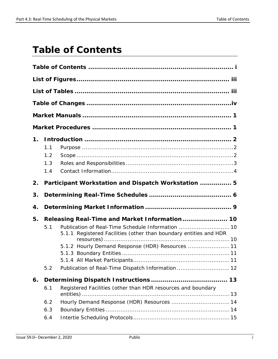## <span id="page-3-0"></span>**Table of Contents**

| 1. | 1.1<br>1.2<br>1.3<br>1.4 |                                                                                                                                                                                                                                                                                  |
|----|--------------------------|----------------------------------------------------------------------------------------------------------------------------------------------------------------------------------------------------------------------------------------------------------------------------------|
| 2. |                          | Participant Workstation and Dispatch Workstation  5                                                                                                                                                                                                                              |
| 3. |                          |                                                                                                                                                                                                                                                                                  |
|    |                          |                                                                                                                                                                                                                                                                                  |
| 4. |                          |                                                                                                                                                                                                                                                                                  |
| 5. | 5.1<br>5.2               | Releasing Real-Time and Market Information 10<br>Publication of Real-Time Schedule Information  10<br>5.1.1 Registered Facilities (other than boundary entities and HDR<br>5.1.2 Hourly Demand Response (HDR) Resources  11<br>Publication of Real-Time Dispatch Information  12 |
| 6. |                          |                                                                                                                                                                                                                                                                                  |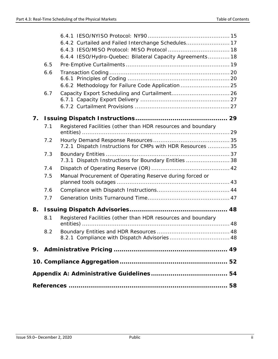|    |     | 6.4.2 Curtailed and Failed Interchange Schedules 17          |  |
|----|-----|--------------------------------------------------------------|--|
|    |     |                                                              |  |
|    |     | 6.4.4 IESO/Hydro-Quebec: Bilateral Capacity Agreements 18    |  |
|    | 6.5 |                                                              |  |
|    | 6.6 |                                                              |  |
|    |     |                                                              |  |
|    |     | 6.6.2 Methodology for Failure Code Application  25           |  |
|    | 6.7 |                                                              |  |
|    |     |                                                              |  |
|    |     |                                                              |  |
| 7. |     |                                                              |  |
|    | 7.1 | Registered Facilities (other than HDR resources and boundary |  |
|    | 7.2 |                                                              |  |
|    |     | 7.2.1 Dispatch Instructions for CMPs with HDR Resources  35  |  |
|    | 7.3 |                                                              |  |
|    |     | 7.3.1 Dispatch Instructions for Boundary Entities  38        |  |
|    | 7.4 |                                                              |  |
|    | 7.5 | Manual Procurement of Operating Reserve during forced or     |  |
|    | 7.6 |                                                              |  |
|    | 7.7 |                                                              |  |
| 8. |     |                                                              |  |
|    | 8.1 | Registered Facilities (other than HDR resources and boundary |  |
|    |     |                                                              |  |
|    | 8.2 |                                                              |  |
|    |     |                                                              |  |
| 9. |     |                                                              |  |
|    |     |                                                              |  |
|    |     |                                                              |  |
|    |     |                                                              |  |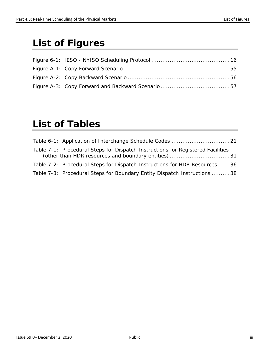## <span id="page-5-0"></span>**List of Figures**

## <span id="page-5-1"></span>**List of Tables**

| Table 7-1: Procedural Steps for Dispatch Instructions for Registered Facilities<br>(other than HDR resources and boundary entities)31 |
|---------------------------------------------------------------------------------------------------------------------------------------|
| Table 7-2: Procedural Steps for Dispatch Instructions for HDR Resources 36                                                            |
| Table 7-3: Procedural Steps for Boundary Entity Dispatch Instructions 38                                                              |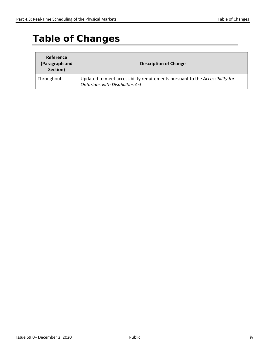## <span id="page-6-0"></span>**Table of Changes**

| <b>Reference</b><br>(Paragraph and<br>Section) | <b>Description of Change</b>                                                                                            |
|------------------------------------------------|-------------------------------------------------------------------------------------------------------------------------|
| Throughout                                     | Updated to meet accessibility requirements pursuant to the Accessibility for<br><b>Ontarians with Disabilities Act.</b> |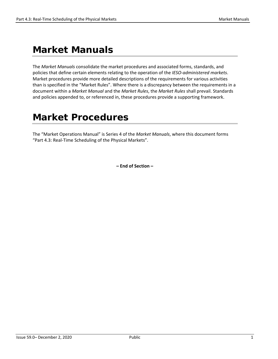## <span id="page-7-0"></span>**Market Manuals**

The *Market Manuals* consolidate the market procedures and associated forms, standards, and policies that define certain elements relating to the operation of the *IESO-administered markets*. Market procedures provide more detailed descriptions of the requirements for various activities than is specified in the "Market Rules". Where there is a discrepancy between the requirements in a document within a *Market Manual* and the *Market Rules*, the *Market Rules* shall prevail. Standards and policies appended to, or referenced in, these procedures provide a supporting framework.

## <span id="page-7-1"></span>**Market Procedures**

The "Market Operations Manual" is Series 4 of the *Market Manuals*, where this document forms "Part 4.3: Real-Time Scheduling of the Physical Markets".

**– End of Section –**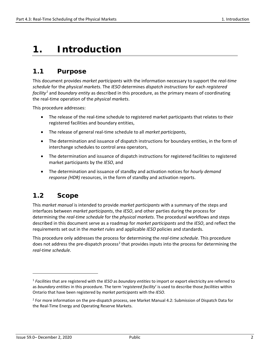## <span id="page-8-0"></span>**1. Introduction**

### <span id="page-8-1"></span>**1.1 Purpose**

This document provides *market participants* with the information necessary to support the *real-time schedule* for the *physical markets*. The *IESO* determines *dispatch instructions* for each *registered facility[1](#page-8-3)* and *boundary entity* as described in this procedure, as the primary means of coordinating the real-time operation of the *physical markets*.

This procedure addresses:

- The release of the real-time schedule to registered market participants that relates to their registered facilities and boundary entities,
- The release of general real-time schedule to all *market participants*,
- The determination and issuance of dispatch instructions for boundary entities, in the form of interchange schedules to control area operators,
- The determination and issuance of dispatch instructions for registered facilities to registered market participants by the *IESO*, and
- The determination and issuance of standby and activation notices for *hourly demand response (HDR)* resources, in the form of standby and activation reports.

### <span id="page-8-2"></span>**1.2 Scope**

This *market manual* is intended to provide *market participants* with a summary of the steps and interfaces between *market participants*, the *IESO*, and other parties during the process for determining the *real-time schedule* for the *physical markets*. The procedural workflows and steps described in this document serve as a roadmap for *market participants* and the *IESO*, and reflect the requirements set out in the *market rules* and applicable *IESO* policies and standards.

This procedure only addresses the process for determining the *real-time schedule*. This procedure does not address the pre-dispatch process<sup>[2](#page-8-4)</sup> that provides inputs into the process for determining the *real-time schedule*.

<span id="page-8-3"></span><sup>1</sup> *Facilities* that are registered with the *IESO* as *boundary entities* to import or export electricity are referred to as *boundary entities* in this procedure. The term '*registered facility*' is used to describe those *facilities* within Ontario that have been registered by *market participants* with the *IESO*.

<span id="page-8-4"></span><sup>&</sup>lt;sup>2</sup> For more information on the pre-dispatch process, see Market Manual 4.2: Submission of Dispatch Data for the Real-Time Energy and Operating Reserve Markets.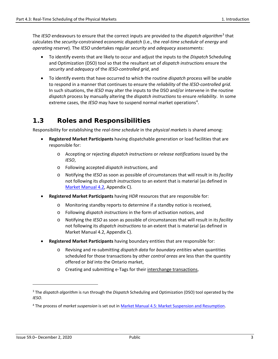The *IESO* endeavours to ensure that the correct inputs are provided to the *dispatch algorithm*[3](#page-9-1) that calculates the *security*-constrained economic *dispatch* (i.e., the *real-time schedule* of *energy* and *operating reserve*). The *IESO* undertakes regular *security* and *adequacy* assessments:

- To identify events that are likely to occur and adjust the inputs to the *Dispatch* Scheduling and Optimization (DSO) tool so that the resultant set of *dispatch instructions* ensure the *security* and *adequacy* of the *IESO-controlled grid*, and
- To identify events that have occurred to which the routine *dispatch* process will be unable to respond in a manner that continues to ensure the *reliability* of the *IESO-controlled grid*. In such situations, the *IESO* may alter the inputs to the DSO and/or intervene in the routine *dispatch* process by manually altering the *dispatch instructions* to ensure *reliability*. In some extreme cases, the *IESO* may have to suspend normal market operations<sup>[4](#page-9-2)</sup>.

### <span id="page-9-0"></span>**1.3 Roles and Responsibilities**

Responsibility for establishing the *real-time schedule* in the *physical markets* is shared among:

- **Registered Market Participants** having dispatchable generation or load facilities that are responsible for:
	- o Accepting or rejecting *dispatch instructions* or *release notifications* issued by the *IESO*,
	- o Following accepted *dispatch instructions*, and
	- o Notifying the *IESO* as soon as possible of circumstances that will result in its *facility* not following its *dispatch instructions* to an extent that is material (as defined in [Market Manual 4.2,](http://www.ieso.ca/-/media/files/ieso/document-library/market-rules-and-manuals-library/market-manuals/market-operations/mo-dispatchdatartm.pdf) Appendix C).
- **Registered Market Participants** having *HDR* resources that are responsible for:
	- o Monitoring standby reports to determine if a standby notice is received,
	- o Following *dispatch instructions* in the form of activation notices, and
	- o Notifying the *IESO* as soon as possible of circumstances that will result in its *facility* not following its *dispatch instructions* to an extent that is material (as defined in Market Manual 4.2, Appendix C).
- **Registered Market Participants** having boundary entities that are responsible for:
	- o Revising and re-submitting *dispatch data* for *boundary entities* when quantities scheduled for those transactions by other *control areas* are less than the quantity offered or *bid* into the Ontario market,
	- o Creating and submitting e-Tags for their interchange transactions,

<span id="page-9-1"></span><sup>3</sup> The *dispatch algorithm* is run through the *Dispatch* Scheduling and Optimization (DSO) tool operated by the *IESO*.

<span id="page-9-2"></span><sup>4</sup> The process of *market suspension* is set out in [Market Manual 4.5: Market Suspension and Resumption.](http://www.ieso.ca/-/media/files/ieso/document-library/market-rules-and-manuals-library/market-manuals/market-operations/mo-mktsuspresum.pdf)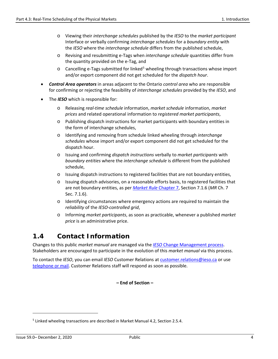- o Viewing their *interchange schedules* published by the *IESO* to the *market participant* Interface or verbally confirming *interchange schedules* for a *boundary entity* with the *IESO* where the *interchange schedule* differs from the published schedule,
- o Revising and resubmitting e-Tags when *interchange schedule* quantities differ from the quantity provided on the e-Tag, and
- $\circ$  Cancelling e-Tags submitted for linked<sup>[5](#page-10-1)</sup> wheeling through transactions whose import and/or export component did not get scheduled for the *dispatch hour*.
- *Control Area operators* in areas adjacent to the Ontario *control area* who are responsible for confirming or rejecting the feasibility of *interchange schedules* provided by the *IESO*, and
- The *IESO* which is responsible for:
	- o Releasing *real-time schedule* information, *market schedule* information, *market prices* and related operational information to *registered market participants*,
	- o Publishing dispatch instructions for market participants with boundary entities in the form of interchange schedules,
	- o Identifying and removing from schedule linked wheeling through *interchange schedules* whose import and/or export component did not get scheduled for the dispatch hour.
	- o Issuing and confirming *dispatch instructions* verbally to *market participants* with *boundary entities* where the *interchange schedule* is different from the published schedule,
	- o Issuing dispatch instructions to registered facilities that are not boundary entities,
	- o Issuing dispatch advisories, on a reasonable efforts basis, to registered facilities that are not boundary entities, as per *[Market Rule](http://www.ieso.ca/-/media/files/ieso/document-library/market-rules-and-manuals-library/market-rules/mr-chapter7.pdf)* Chapter 7, Section 7.1.6 (*MR* Ch. 7 Sec. 7.1.6).
	- o Identifying circumstances where emergency actions are required to maintain the *reliability* of the *IESO-controlled grid*,
	- o Informing *market participants*, as soon as practicable, whenever a published *market price* is an administrative price.

### <span id="page-10-0"></span>**1.4 Contact Information**

Changes to this public *market manual* are managed via the *IESO* [Change Management process.](http://www.ieso.ca/sector-participants/change-management/overview) Stakeholders are encouraged to participate in the evolution of this *market manual* via this process.

To contact the *IESO*, you can email *IESO* Customer Relations at [customer.relations@ieso.ca](mailto:customer.relations@ieso.ca) or use [telephone or mail.](http://www.ieso.ca/corporate-ieso/contact) Customer Relations staff will respond as soon as possible.

**– End of Section –** 

<span id="page-10-1"></span><sup>5</sup> Linked wheeling transactions are described in Market Manual 4.2, Section 2.5.4.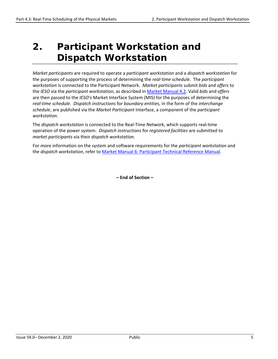## <span id="page-11-0"></span>**2. Participant Workstation and Dispatch Workstation**

*Market participants* are required to operate a *participant workstation* and a *dispatch workstation* for the purposes of supporting the process of determining the *real-time schedule*. The *participant workstation* is connected to the Participant Network. *Market participants* submit *bids* and *offers* to the *IESO* via the *participant workstation*, as described in [Market Manual 4.2.](http://www.ieso.ca/-/media/files/ieso/document-library/market-rules-and-manuals-library/market-manuals/market-operations/mo-dispatchdatartm.pdf) Valid *bids* and *offers* are then passed to the *IESO's* Market Interface System (MIS) for the purposes of determining the *real-time schedule*. *Dispatch instructions* for *boundary entities*, in the form of the *interchange schedule*, are published via the *Market Participant* Interface, a component of the *participant workstation*.

The *dispatch workstation* is connected to the Real-Time Network, which supports real-time operation of the power system. *Dispatch instructions* for *registered facilities* are submitted to *market participants* via their *dispatch workstation*.

For more information on the system and software requirements for the *participant workstation* and the *dispatch workstation*, refer t[o Market Manual 6: Participant Technical Reference Manual.](http://www.ieso.ca/-/media/files/ieso/document-library/market-rules-and-manuals-library/market-manuals/technical-reference/ptrm-ptrmmanual.pdf)

**– End of Section –**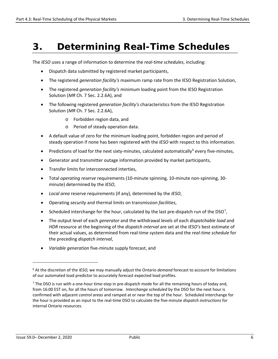## <span id="page-12-0"></span>**3. Determining Real-Time Schedules**

The *IESO* uses a range of information to determine the *real-time schedules*, including:

- Dispatch data submitted by registered market participants,
- The registered *generation facility's* maximum ramp rate from the IESO Registration Solution,
- The registered *generation facility's* minimum loading point from the IESO Registration Solution (*MR* Ch. 7 Sec. 2.2.6A), and
- The following registered *generation facility's* characteristics from the IESO Registration Solution (*MR* Ch. 7 Sec. 2.2.6A),
	- o Forbidden region data, and
	- o Period of steady operation data.
- A default value of zero for the minimum loading point, forbidden region and period of steady operation if none has been registered with the *IESO* with respect to this information.
- Predictions of load for the next sixty-minutes, calculated automatically<sup>[6](#page-12-1)</sup> every five-minutes,
- Generator and transmitter outage information provided by market participants,
- Transfer limits for interconnected interties,
- Total *operating reserve* requirements (10-minute spinning, 10-minute non-spinning, 30 minute) determined by the *IESO*,
- *Local area* reserve requirements (if any), determined by the *IESO*,
- Operating *security* and thermal limits on transmission *facilities*,
- Scheduled interchange for the hour, calculated by the last pre-dispatch run of the DSO<sup>[7](#page-12-2)</sup>,
- The output level of each *generator* and the withdrawal levels of each *dispatchable load* and *HDR* resource at the beginning of the *dispatch interval* are set at the *IESO's* best estimate of their actual values, as determined from real-time system data and the *real-time schedule* for the preceding *dispatch interval*,
- *Variable generation* five-minute supply forecast, and

<span id="page-12-1"></span><sup>6</sup> At the discretion of the *IESO,* we may manually adjust the Ontario *demand* forecast to account for limitations of our automated load predictor to accurately forecast expected load profiles.

<span id="page-12-2"></span> $<sup>7</sup>$  The DSO is run with a one-hour time-step in pre-dispatch mode for all the remaining hours of today and,</sup> from 16:00 EST on, for all the hours of tomorrow. *Interchange scheduled* by the DSO for the next hour is confirmed with adjacent *control areas* and ramped at or near the top of the hour. Scheduled interchange for the hour is provided as an input to the real-time DSO to calculate the five-minute *dispatch instructions* for internal Ontario resources.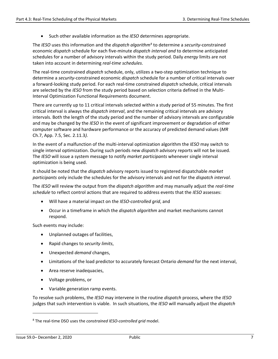• Such other available information as the *IESO* determines appropriate.

The *IESO* uses this information and the *dispatch algorithm*[8](#page-13-0) to determine a *security*-constrained economic *dispatch* schedule for each five-minute *dispatch interval and* to determine anticipated schedules for a number of advisory intervals within the study period. Daily *energy* limits are not taken into account in determining *real-time schedules*.

The real-time constrained *dispatch* schedule, only, utilizes a two-step optimization technique to determine a *security*-constrained economic *dispatch* schedule for a number of critical intervals over a forward-looking study period. For each real-time constrained *dispatch* schedule, critical intervals are selected by the *IESO* from the study period based on selection criteria defined in the Multi-Interval Optimization Functional Requirements document.

There are currently up to 11 critical intervals selected within a study period of 55 minutes. The first critical interval is always the *dispatch interval*, and the remaining critical intervals are advisory intervals. Both the length of the study period and the number of advisory intervals are configurable and may be changed by the *IESO* in the event of significant improvement or degradation of either computer software and hardware performance or the accuracy of predicted demand values (*MR* Ch.7, App. 7.5, Sec. 2.11.3*).*

In the event of a malfunction of the multi-interval optimization algorithm the *IESO* may switch to single interval optimization. During such periods new *dispatch* advisory reports will not be issued. The *IESO* will issue a system message to notify *market participants* whenever single interval optimization is being used.

It should be noted that the *dispatch* advisory reports issued to registered dispatchable *market participants* only include the schedules for the advisory intervals and not for the *dispatch interval*.

The *IESO* will review the output from the *dispatch algorithm* and may manually adjust the *real-time schedule* to reflect control actions that are required to address events that the *IESO* assesses:

- Will have a material impact on the *IESO-controlled grid*, and
- Occur in a timeframe in which the *dispatch algorithm* and market mechanisms cannot respond.

Such events may include:

- Unplanned outages of facilities,
- Rapid changes to *security limits*,
- Unexpected *demand* changes,
- Limitations of the load predictor to accurately forecast Ontario *demand* for the next interval,
- Area reserve inadequacies,
- Voltage problems, or
- Variable generation ramp events.

To resolve such problems, the *IESO* may intervene in the routine *dispatch* process, where the *IESO* judges that such intervention is viable. In such situations, the *IESO* will manually adjust the *dispatch* 

<span id="page-13-0"></span><sup>8</sup> The real-time DSO uses the *constrained IESO-controlled grid* model.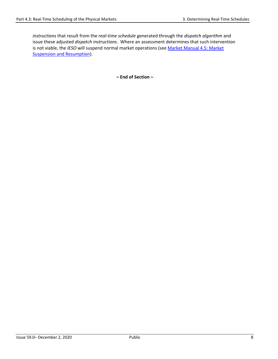*instructions* that result from the *real-time schedule* generated through the *dispatch algorithm* and issue these adjusted *dispatch instructions*. Where an assessment determines that such intervention is not viable, the *IESO* will suspend normal market operations (see [Market Manual 4.5: Market](http://www.ieso.ca/-/media/files/ieso/document-library/market-rules-and-manuals-library/market-manuals/market-operations/mo-mktsuspresum.pdf)  [Suspension and Resumption\)](http://www.ieso.ca/-/media/files/ieso/document-library/market-rules-and-manuals-library/market-manuals/market-operations/mo-mktsuspresum.pdf).

**– End of Section –**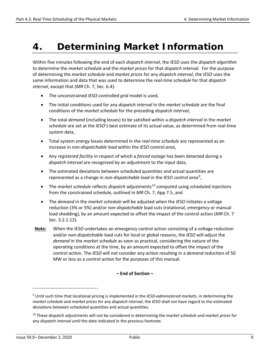## <span id="page-15-0"></span>**4. Determining Market Information**

Within five minutes following the end of each *dispatch interval*, the *IESO* uses the *dispatch algorithm* to determine the *market schedule* and the *market prices* for that *dispatch interval*. For the purpose of determining the *market schedule* and *market prices* for any *dispatch interval*, the *IESO* uses the same information and data that was used to determine the *real-time schedule* for that *dispatch interval*, except that (*MR* Ch. 7, Sec. 6.4):

- The unconstrained *IESO-controlled grid* model is used,
- The initial conditions used for any *dispatch interval* in the *market schedule* are the final conditions of the *market schedule* for the preceding *dispatch interval*,
- The total *demand* (including losses) to be satisfied within a *dispatch interval* in the *market schedule* are set at the *IESO's* best estimate of its actual value, as determined from real-time system data,
- Total system *energy* losses determined in the *real-time schedule* are represented as an increase in *non-dispatchable load* within the *IESO control area*,
- Any *registered facility* in respect of which a *forced outage* has been detected during a *dispatch interval* are recognized by an adjustment to the input data,
- The estimated deviations between scheduled quantities and actual quantities are represented as a change in *non-dispatchable load* in the *IESO control area*<sup>[9](#page-15-1)</sup>,
- The *market schedule* reflects *dispatch* adjustments<sup>[10](#page-15-2)</sup> computed using scheduled injections from the constrained schedule, outlined in *MR* Ch. 7, App 7.5, and
- The *demand* in the *market schedule* will be adjusted when the *IESO* initiates a voltage reduction (3% or 5%) and/or *non-dispatchable* load cuts (rotational, *emergency* or manual load shedding), by an amount expected to offset the impact of the control action (*MR* Ch. 7 Sec. 3.2.1.12)*.*
- **Note:** When the *IESO* undertakes an emergency control action consisting of a voltage reduction and/or *non-dispatchable* load cuts for local or global reasons, the *IESO* will adjust the *demand* in the *market schedule* as soon as practical, considering the nature of the operating conditions at the time, by an amount expected to offset the impact of the control action*.* The *IESO* will not consider any action resulting in a *demand* reduction of 50 MW or less as a control action for the purposes of this manual.

#### **– End of Section –**

<span id="page-15-1"></span><sup>9</sup> Until such time that locational pricing is implemented in the *IESO-administered markets*, in determining the *market schedule* and *market prices* for any *dispatch interval*, the *IESO* shall not have regard to the estimated deviations between scheduled quantities and actual quantities.

<span id="page-15-2"></span><sup>10</sup> These dispatch adjustments will not be considered in determining the *market schedule* and *market prices* for any *dispatch interval* until the date indicated in the previous footnote.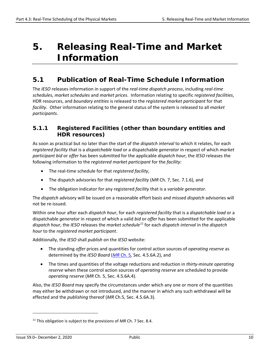## <span id="page-16-0"></span>**5. Releasing Real-Time and Market Information**

### <span id="page-16-1"></span>**5.1 Publication of Real-Time Schedule Information**

The *IESO* releases information in support of the *real-time dispatch process*, including *real-time schedules*, *market schedules* and *market prices*. Information relating to specific *registered facilities*, HDR resources, and *boundary entities* is released to the *registered market participant* for that *facility*. Other information relating to the general status of the system is released to all *market participants*.

#### <span id="page-16-2"></span>**5.1.1 Registered Facilities (other than boundary entities and HDR resources)**

As soon as practical but no later than the start of the *dispatch interval* to which it relates, for each *registered facility* that is a *dispatchable load* or a dispatchable *generator* in respect of which *market participant bid* or *offer* has been submitted for the applicable *dispatch hour*, the *IESO* releases the following information to the *registered market participant* for the *facility:* 

- The real-time schedule for that *registered facility*,
- The dispatch advisories for that *registered facility* (*MR* Ch. 7, Sec. 7.1.6), and
- The obligation indicator for any registered *facility* that is a *variable generator*.

The *dispatch* advisory will be issued on a reasonable effort basis and missed *dispatch* advisories will not be re-issued.

Within one hour after each *dispatch hour*, for each *registered facility* that is a *dispatchable load* or a dispatchable *generator* in respect of which a valid *bid* or *offer* has been submitted for the applicable *dispatch hour*, the *IESO* releases the *market schedule[11](#page-16-3)* for each *dispatch interval* in the *dispatch hour* to the *registered market participant*.

Additionally, the *IESO* shall *publish* on the *IESO* website:

- The standing *offer* prices and quantities for control action sources of *operating reserve* as determined by the *IESO Board* (*MR* [Ch. 5](http://www.ieso.ca/-/media/files/ieso/document-library/market-rules-and-manuals-library/market-rules/mr-chapter5.pdf)*,* Sec. 4.5.6A.2), and
- The times and quantities of the voltage reductions and reduction in *thirty-minute operating reserve* when these control action sources of *operating reserve* are scheduled to provide *operating reserve* (*MR* Ch. 5, Sec. 4.5.6A.4).

Also, the *IESO Board* may specify the circumstances under which any one or more of the quantities may either be withdrawn or not introduced, and the manner in which any such withdrawal will be effected and the *publishing* thereof (*MR* Ch.5, Sec. 4.5.6A.3).

<span id="page-16-3"></span><sup>&</sup>lt;sup>11</sup> This obligation is subject to the provisions of MR Ch. 7 Sec. 8.4.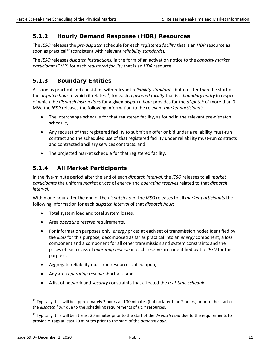#### <span id="page-17-0"></span>**5.1.2 Hourly Demand Response (HDR) Resources**

The *IESO* releases the *pre-dispatch* schedule for each *registered facility* that is an *HDR* resource as soon as practical<sup>[12](#page-17-3)</sup> (consistent with relevant *reliability standards*).

The *IESO* releases *dispatch instructions,* in the form of an activation notice to the *capacity market participant* (CMP) for each *registered facility* that is an *HDR* resource*.*

#### <span id="page-17-1"></span>**5.1.3 Boundary Entities**

As soon as practical and consistent with relevant *reliability standards*, but no later than the start of the *dispatch hour* to which it relates<sup>13</sup>, for each *registered facility* that is a *boundary entity* in respect of which the *dispatch instructions* for a given *dispatch hour* provides for the *dispatch* of more than 0 MW, the *IESO* releases the following information to the relevant *market participant*:

- The interchange schedule for that registered facility, as found in the relevant pre-dispatch schedule,
- Any request of that registered facility to submit an offer or bid under a reliability must-run contract and the scheduled use of that registered facility under reliability must-run contracts and contracted ancillary services contracts, and
- The projected market schedule for that registered facility.

#### <span id="page-17-2"></span>**5.1.4 All Market Participants**

In the five-minute period after the end of each *dispatch interval*, the *IESO* releases to all *market participants* the uniform *market prices* of *energy* and *operating reserves* related to that *dispatch interval*.

Within one hour after the end of the *dispatch hour*, the *IESO* releases to all *market participants* the following information for each *dispatch interval* of that *dispatch hour*:

- Total system load and total system losses,
- Area *operating reserve* requirements,
- For information purposes only, *energy* prices at each set of transmission nodes identified by the *IESO* for this purpose, decomposed as far as practical into an *energy* component, a loss component and a component for all other transmission and system constraints and the prices of each class of *operating reserve* in each reserve area identified by the *IESO* for this purpose,
- Aggregate reliability must-run resources called upon,
- Any area *operating reserve* shortfalls, and
- A list of network and *security* constraints that affected the *real-time schedule*.

<span id="page-17-3"></span> $12$  Typically, this will be approximately 2 hours and 30 minutes (but no later than 2 hours) prior to the start of the *dispatch hour* due to the scheduling requirements of *HDR* resources.

<span id="page-17-4"></span><sup>13</sup> Typically, this will be at least 30 minutes prior to the start of the *dispatch hour* due to the requirements to provide e-Tags at least 20 minutes prior to the start of the *dispatch hour*.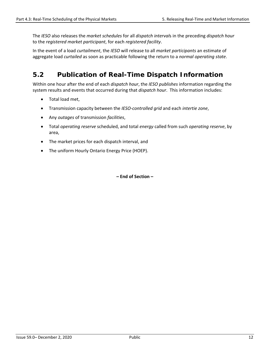The *IESO* also releases the *market schedules* for all *dispatch interval*s in the preceding *dispatch hour* to the *registered market participant*, for each *registered facility*.

In the event of a load *curtailment*, the *IESO* will release to all *market participants* an estimate of aggregate load *curtailed* as soon as practicable following the return to a *normal operating state*.

## <span id="page-18-0"></span>**5.2 Publication of Real-Time Dispatch Information**

Within one hour after the end of each *dispatch hour*, the *IESO publishes* information regarding the system results and events that occurred during that *dispatch hour*. This information includes:

- Total load met,
- Transmission capacity between the *IESO-controlled grid* and each *intertie zone*,
- Any *outages* of transmission *facilities*,
- Total *operating reserve* scheduled, and total *energy* called from such *operating reserve*, by area,
- The market prices for each dispatch interval, and
- The uniform Hourly Ontario Energy Price (HOEP).

**– End of Section –**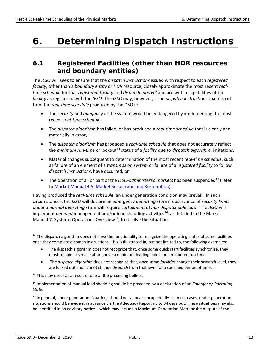## <span id="page-19-0"></span>**6. Determining Dispatch Instructions**

### <span id="page-19-1"></span>**6.1 Registered Facilities (other than HDR resources and boundary entities)**

The *IESO* will seek to ensure that the *dispatch instructions* issued with respect to each *registered facility*, other than a *boundary entity or HDR* resource, closely approximate the most recent *realtime schedule* for that *registered facility* and *dispatch interval* and are within capabilities of the *facility* as registered with the *IESO*. The *IESO* may, however, issue *dispatch instructions* that depart from the *real-time schedule* produced by the DSO if:

- The *security* and *adequacy* of the system would be endangered by implementing the most recent *real-time schedule*,
- The *dispatch algorithm* has failed, or has produced a *real-time schedule* that is clearly and materially in error,
- The *dispatch algorithm* has produced a *real-time schedule* that does not accurately reflect the *minimum run-time* or lockout<sup>[14](#page-19-2)</sup> status of a *facility* due to *dispatch algorithm* limitations,
- Material changes subsequent to determination of the most recent *real-time schedule*, such as failure of an element of a *transmission system* or failure of a *registered facility* to follow *dispatch instructions*, have occurred, or
- The operation of all or part of the *IESO-administered markets* has been suspended<sup>15</sup> (refer to [Market Manual 4.5: Market Suspension and Resumption\)](http://www.ieso.ca/-/media/files/ieso/document-library/market-rules-and-manuals-library/market-manuals/market-operations/mo-mktsuspresum.pdf).

Having produced the *real-time schedule*, an under generation condition may prevail. In such circumstances, the *IESO* will declare an *emergency operating state* if observance of *security limits* under a *normal operating state* will require *curtailment* of *non-dispatchable load*. The *IESO* will implement *demand* management and/or load shedding activities<sup>16</sup>, as detailed in the Market Manual 7: Systems Operations Overview<sup>17</sup>, to resolve the situation.

- The dispatch algorithm does not recognize that, once some quick start facilities synchronize, they must remain in service at or above a minimum loading point for a minimum run-time.
- The *dispatch algorithm* does not recognize that, once some *facilities* change their *dispatch* level, they are locked out and cannot change *dispatch* from that level for a specified period of time.

<span id="page-19-3"></span><sup>15</sup> This may occur as a result of one of the preceding bullets.

**-**

<span id="page-19-2"></span><sup>&</sup>lt;sup>14</sup> The dispatch algorithm does not have the functionality to recognize the operating status of some facilities once they complete dispatch instructions. This is illustrated in, but not limited to, the following examples:

<span id="page-19-4"></span><sup>16</sup> Implementation of manual load shedding should be preceded by a declaration of an *Emergency Operating State*.

<span id="page-19-5"></span><sup>&</sup>lt;sup>17</sup> In general, under generation situations should not appear unexpectedly. In most cases, under generation situations should be evident in advance via the Adequacy Report up to 34 days out. These situations may also be identified in an advisory notice – which may include a Maximum Generation Alert, or the outputs of the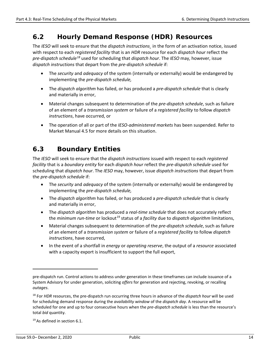### <span id="page-20-0"></span>**6.2 Hourly Demand Response (HDR) Resources**

The *IESO* will seek to ensure that the *dispatch instructions¸* in the form of an activation notice, issued with respect to each *registered facility* that is an *HDR* resource for each *dispatch hour* reflect the *pre-dispatch schedule[18](#page-20-2)* used for scheduling that *dispatch hour*. The *IESO* may, however, issue *dispatch instructions* that depart from the *pre-dispatch schedule* if:

- The *security* and *adequacy* of the system (internally or externally) would be endangered by implementing the *pre-dispatch schedule,*
- The *dispatch algorithm* has failed, or has produced a *pre-dispatch schedule* that is clearly and materially in error,
- Material changes subsequent to determination of the *pre-dispatch schedule*, such as failure of an element of a *transmission system* or failure of a *registered facility* to follow *dispatch instructions*, have occurred, or
- The operation of all or part of the *IESO-administered markets* has been suspended. Refer to Market Manual 4.5 for more details on this situation.

## <span id="page-20-1"></span>**6.3 Boundary Entities**

The *IESO* will seek to ensure that the *dispatch instructions* issued with respect to each *registered facility* that is a *boundary entity* for each *dispatch hour* reflect the *pre-dispatch schedule* used for scheduling that *dispatch hour*. The *IESO* may, however, issue *dispatch instructions* that depart from the *pre-dispatch schedule* if:

- The *security* and *adequacy* of the system (internally or externally) would be endangered by implementing the *pre-dispatch schedule,*
- The *dispatch algorithm* has failed, or has produced a *pre-dispatch schedule* that is clearly and materially in error,
- The *dispatch algorithm* has produced a *real-time schedule* that does not accurately reflect the *minimum run-time* or lockout<sup>[19](#page-20-3)</sup> status of a *facility* due to *dispatch algorithm* limitations,
- Material changes subsequent to determination of the *pre-dispatch schedule*, such as failure of an element of a *transmission system* or failure of a *registered facility* to follow *dispatch instructions*, have occurred,
- In the event of a shortfall in *energy* or *operating reserve*, the output of a *resource* associated with a capacity export is insufficient to support the full export,

<span id="page-20-3"></span> $19$  As defined in section 6.1.

pre-dispatch run. Control actions to address under generation in these timeframes can include issuance of a System Advisory for under generation, soliciting *offers* for generation and rejecting, revoking, or recalling *outages*.

<span id="page-20-2"></span><sup>18</sup> For *HDR* resources, the pre-dispatch run occurring three hours in advance of the *dispatch hour* will be used for scheduling demand response during the *availability window* of the *dispatch day*. A resource will be scheduled for one and up to four consecutive hours when the *pre-dispatch schedule* is less than the resource's total *bid* quantity.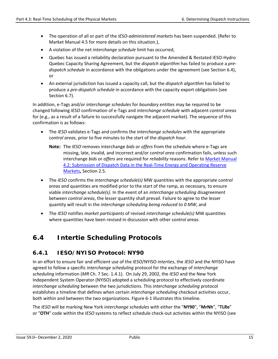- The operation of all or part of the *IESO-administered markets* has been suspended. (Refer to Market Manual 4.5 for more details on this situation.),
- A violation of the net *interchange schedule* limit has occurred,
- Quebec has issued a reliability declaration pursuant to the Amended & Restated IESO-Hydro Quebec Capacity Sharing Agreement, but the *dispatch algorithm* has failed to produce a *predispatch schedule* in accordance with the obligations under the agreement (see Section 6.4), or
- An external jurisdiction has issued a capacity call, but the *dispatch algorithm* has failed to produce a *pre-dispatch schedule* in accordance with the capacity export obligations (see Section 6.7).

In addition, e-Tags and/or *interchange schedules* for *boundary entities* may be required to be changed following *IESO* confirmation of e-Tags and *interchange schedule* with adjacent *control areas* for (e.g., as a result of a failure to successfully navigate the adjacent market). The sequence of this confirmation is as follows:

- The *IESO* validates e-Tags and confirms the *interchange schedules* with the appropriate c*ontrol areas*, prior to five minutes to the start of the *dispatch hour*.
	- **Note:** The *IESO* removes interchange *bids* or *offers* from the schedule where e-Tags are missing, late, invalid, and incorrect and/or c*ontrol area* confirmation fails, unless such interchange *bids* or *offers* are required for *reliability* reasons. Refer to [Market Manual](http://www.ieso.ca/-/media/files/ieso/document-library/market-rules-and-manuals-library/market-manuals/market-operations/mo-dispatchdatartm.pdf)  [4.2: Submission of Dispatch Data in the Real-Time Energy and Operating Reserve](http://www.ieso.ca/-/media/files/ieso/document-library/market-rules-and-manuals-library/market-manuals/market-operations/mo-dispatchdatartm.pdf)  [Markets](http://www.ieso.ca/-/media/files/ieso/document-library/market-rules-and-manuals-library/market-manuals/market-operations/mo-dispatchdatartm.pdf)**,** Section 2.5.
- The *IESO* confirms the *interchange schedule(s)* MW quantities with the appropriate c*ontrol areas and* quantities are modified prior to the start of the ramp, as necessary, to ensure viable *interchange schedule(s)*. In the event of an *interchange scheduling* disagreement between *control areas*, the lesser quantity shall prevail. Failure to agree to the lesser quantity will result in the *interchange scheduling being reduced to 0 MW*, and
- The *IESO* notifies *market participants* of revised *interchange schedule(s)* MW quantities where quantities have been revised in discussion with other c*ontrol areas*.

## <span id="page-21-0"></span>**6.4 Intertie Scheduling Protocols**

#### <span id="page-21-1"></span>**6.4.1 IESO/NYISO Protocol: NY90**

In an effort to ensure fair and efficient use of the *IESO*/NYISO *interties*, the *IESO* and the NYISO have agreed to follow a specific *interchange scheduling* protocol for the exchange of *interchange scheduling* information (*MR* Ch. 7 Sec. 1.4.1). On July 29, 2002, the *IESO* and the New York Independent System Operator (NYISO) adopted a scheduling protocol to effectively coordinate *interchange scheduling* between the two jurisdictions. This *interchange scheduling* protocol establishes a timeline that defines when certain *interchange scheduling* checkout activities occur, both within and between the two organizations. Figure 6-1 illustrates this timeline.

The *IESO* will be marking New York *interchange schedules* with either the "**NY90**", "**MrNh**", "**TLRe**" or "**OTH**" code within the *IESO* systems to reflect schedule check-out activities within the NYISO (see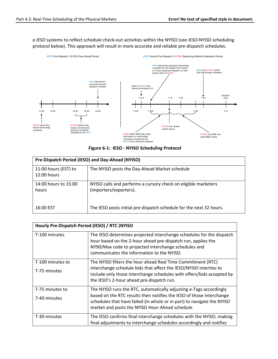e *IESO* systems to reflect schedule check-out activities within the NYISO (see *IESO*-NYISO scheduling protocol below). This approach will result in more accurate and reliable pre-dispatch schedules.



|  | Figure 6-1: IESO - NYISO Scheduling Protocol |  |  |
|--|----------------------------------------------|--|--|
|--|----------------------------------------------|--|--|

| Pre-Dispatch Period (IESO) and Day-Ahead (NYISO) |                                                                                          |  |
|--------------------------------------------------|------------------------------------------------------------------------------------------|--|
| 11:00 hours (EST) to<br>$12:00$ hours            | The NYISO posts the Day-Ahead Market schedule                                            |  |
| 14:00 hours to 15:00<br>hours                    | NYISO calls and performs a cursory check on eligible marketers<br>(importers/exporters). |  |
| 16:00 EST                                        | The IESO posts initial pre-dispatch schedule for the next 32 hours.                      |  |

| Hourly Pre-Dispatch Period (IESO) / RTC (NYISO |                                                                                                                                                                                                                                                                         |  |
|------------------------------------------------|-------------------------------------------------------------------------------------------------------------------------------------------------------------------------------------------------------------------------------------------------------------------------|--|
| T-100 minutes                                  | The IESO determines projected interchange schedules for the dispatch<br>hour based on the 2-hour ahead pre-dispatch run, applies the<br>NY90/Max code to projected interchange schedules and<br>communicates the information to the NYISO.                              |  |
| T-100 minutes to<br>T-75 minutes               | The NYISO filters the hour ahead Real Time Commitment (RTC)<br>interchange schedule bids that affect the IESO/NYISO interties to<br>include only those interchange schedules with offers/bids accepted by<br>the IESO's 2-hour ahead pre-dispatch run.                  |  |
| T-75 minutes to<br>7-40 minutes                | The NYISO runs the RTC, automatically adjusting e-Tags accordingly<br>based on the RTC results then notifies the IESO of those interchange<br>schedules that have failed (in whole or in part) to navigate the NYISO<br>market and posts the NYISO Hour-Ahead schedule. |  |
| T-30 minutes                                   | The IESO confirms final interchange schedules with the NYISO, making<br>final adjustments to interchange schedules accordingly and notifies                                                                                                                             |  |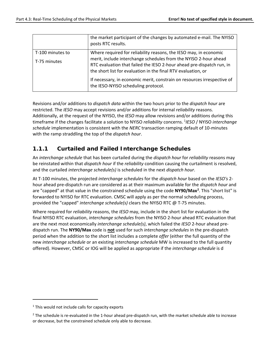|                  | the market participant of the changes by automated e-mail. The NYISO<br>posts RTC results.                     |
|------------------|----------------------------------------------------------------------------------------------------------------|
| T-100 minutes to | Where required for reliability reasons, the IESO may, in economic                                              |
| T-75 minutes     | merit, include interchange schedules from the NYISO 2-hour ahead                                               |
|                  | RTC evaluation that failed the IESO 2-hour ahead pre-dispatch run, in                                          |
|                  | the short list for evaluation in the final RTV evaluation, or                                                  |
|                  | If necessary, in economic merit, constrain on resources irrespective of<br>the IESO-NYISO scheduling protocol. |

Revisions and/or additions to *dispatch data* within the two hours prior to the *dispatch hour* are restricted. The *IESO* may accept revisions and/or additions for internal *reliability* reasons. Additionally, at the request of the NYISO, the *IESO* may allow revisions and/or additions during this timeframe if the changes facilitate a solution to NYISO *reliability* concerns. [1](#page-23-0) *IESO* / NYISO *interchange schedule* implementation is consistent with the *NERC* transaction ramping default of 10-minutes with the ramp straddling the top of the *dispatch hour*.

#### **1.1.1 Curtailed and Failed Interchange Schedules**

An *interchange schedule* that has been curtailed during the *dispatch hour* for *reliability* reasons may be reinstated within that *dispatch hour* if the *reliability* condition causing the curtailment is resolved, and the curtailed *interchange schedule(s)* is scheduled in the next *dispatch hour*.

At T-100 minutes, the projected *interchange schedules* for the *dispatch hour* based on the *IESO's* 2 hour ahead pre-dispatch run are considered as at their maximum available for the *dispatch hour* and are "capped" at that value in the constrained schedule using the code **NY90/Max[2](#page-23-1)** . This "short list" is forwarded to NYISO for RTC evaluation. CMSC will apply as per the normal scheduling process, provided the "capped" *interchange schedule(s)* clears the NYISO RTC @ T-75 minutes.

Where required for *reliability* reasons, the *IESO* may, include in the short list for evaluation in the final NYISO RTC evaluation, *interchange schedules* from the NYISO 2-hour ahead RTC evaluation that are the next most economically *interchange schedule(s)*, which failed the *IESO* 2-hour ahead predispatch run. The **NY90/Max** code is **not** used for such *interchange schedules* in the pre-dispatch period when the addition to the short list includes a complete *offer* (either the full quantity of the new *interchange schedule* or an existing *interchange schedule* MW is increased to the full quantity offered). However, CMSC or IOG will be applied as appropriate if the *interchange schedule* is d

<span id="page-23-0"></span> $1$  This would not include calls for capacity exports

<span id="page-23-1"></span><sup>&</sup>lt;sup>2</sup> The schedule is re-evaluated in the 1-hour ahead pre-dispatch run, with the market schedule able to increase or decrease, but the constrained schedule only able to decrease.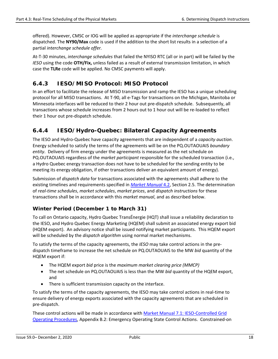offered). However, CMSC or IOG will be applied as appropriate if the *interchange schedule* is dispatched. The **NY90/Max** code is used if the addition to the short list results in a selection of a partial *interchange schedule offer.*

At-T-30 minutes, *interchange schedules* that failed the NYISO RTC (all or in part) will be failed by the *IESO* using the code **OTH/Fix,** unless failed as a result of external transmission limitation, in which case the **TLRe** code will be applied. No CMSC payments will apply.

#### <span id="page-24-0"></span>**6.4.3 IESO/MISO Protocol: MISO Protocol**

In an effort to facilitate the release of MISO transmission and ramp the IESO has a unique scheduling protocol for all MISO transactions. At T-90, all e-Tags for transactions on the Michigan, Manitoba or Minnesota interfaces will be reduced to their 2 hour out pre-dispatch schedule. Subsequently, all transactions whose schedule increases from 2 hours out to 1 hour out will be re-loaded to reflect their 1 hour out pre-dispatch schedule.

#### <span id="page-24-1"></span>**6.4.4 IESO/Hydro-Quebec: Bilateral Capacity Agreements**

The IESO and Hydro-Quebec have capacity agreements that are independent of a *capacity auction*. Energy scheduled to satisfy the terms of the agreements will be on the PQ.OUTAOUAIS *boundary entity*. Delivery of firm energy under the agreements is measured as the net schedule on PQ.OUTAOUAIS regardless of the *market participant* responsible for the scheduled transaction (i.e., a Hydro Quebec energy transaction does not have to be scheduled for the sending entity to be meeting its energy obligation, if other transactions deliver an equivalent amount of energy).

Submission of *dispatch data* for transactions associated with the agreements shall adhere to the existing timelines and requirements specified in *[Market Manual](http://www.ieso.ca/-/media/files/ieso/document-library/market-rules-and-manuals-library/market-manuals/market-operations/mo-dispatchdatartm.pdf)* 4.2, Section 2.5. The determination of *real-time schedules*, *market schedules*, *market prices*, and *dispatch instructions* for these transactions shall be in accordance with this *market manual*, and as described below.

#### **Winter Period (December 1 to March 31)**

To call on Ontario capacity, Hydro Quebec TransÉnergie (HQT) shall issue a reliability declaration to the IESO, and Hydro Quebec Energy Marketing (HQEM) shall submit an associated energy export bid (HQEM export). An advisory notice shall be issued notifying market participants. This HQEM export will be scheduled by the *dispatch algorithm* using normal market mechanisms.

To satisfy the terms of the capacity agreements, the *IESO* may take control actions in the predispatch timeframe to increase the net schedule on PQ.OUTAOUAIS to the MW *bid* quantity of the HQEM export if:

- The HQEM export *bid* price is the *maximum market clearing price (MMCP)*
- The net schedule on PQ.OUTAOUAIS is less than the MW *bid* quantity of the HQEM export, and
- There is sufficient transmission capacity on the interface.

To satisfy the terms of the capacity agreements, the IESO may take control actions in real-time to ensure delivery of energy exports associated with the capacity agreements that are scheduled in pre-dispatch.

These control actions will be made in accordance with [Market Manual 7.1: IESO-Controlled Grid](http://www.ieso.ca/-/media/files/ieso/document-library/market-rules-and-manuals-library/market-manuals/system-operations/so-systemsoperations.pdf)  [Operating Procedures,](http://www.ieso.ca/-/media/files/ieso/document-library/market-rules-and-manuals-library/market-manuals/system-operations/so-systemsoperations.pdf) Appendix B.2: Emergency Operating State Control Actions. Constrained-on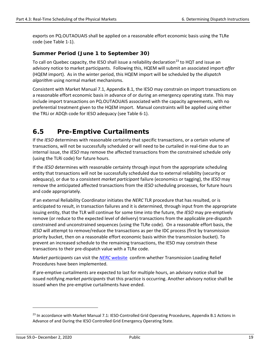exports on PQ.OUTAOUAIS shall be applied on a reasonable effort economic basis using the TLRe code (see Table 1-1).

#### **Summer Period (June 1 to September 30)**

To call on Quebec capacity, the IESO shall issue a reliability declaration<sup>[23](#page-25-1)</sup> to HQT and issue an advisory notice to market participants. Following this, HQEM will submit an associated import *offer* (HQEM import). As in the winter period, this HQEM import will be scheduled by the *dispatch algorithm* using normal market mechanisms.

Consistent with Market Manual 7.1, Appendix B.1, the IESO may constrain on import transactions on a reasonable effort economic basis in advance of or during an emergency operating state. This may include import transactions on PQ.OUTAOUAIS associated with the capacity agreements, with no preferential treatment given to the HQEM import. Manual constraints will be applied using either the TRLi or ADQh code for IESO adequacy (see Table 6-1).

## <span id="page-25-0"></span>**6.5 Pre-Emptive Curtailments**

If the *IESO* determines with reasonable certainty that specific transactions, or a certain volume of transactions, will not be successfully scheduled or will need to be curtailed in real-time due to an internal issue, the *IESO* may remove the affected transactions from the constrained schedule only (using the TLRi code) for future hours.

If the *IESO* determines with reasonable certainty through input from the appropriate scheduling entity that transactions will not be successfully scheduled due to external reliability (security or adequacy), or due to a consistent *market participant* failure (economics or tagging), the *IESO* may remove the anticipated affected transactions from the *IESO* scheduling processes, for future hours and code appropriately.

If an external Reliability Coordinator initiates the *NERC* TLR procedure that has resulted, or is anticipated to result, in transaction failures and it is determined, through input from the appropriate issuing entity, that the TLR will continue for some time into the future, the *IESO* may pre-emptively remove (or reduce to the expected level of delivery) transactions from the applicable pre-dispatch constrained and unconstrained sequences (using the TLRe code). On a reasonable effort basis, the *IESO* will attempt to remove/reduce the transactions as per the IDC process (first by transmission priority bucket, then on a reasonable effort economic basis within the transmission bucket). To prevent an increased schedule to the remaining transactions, the IESO may constrain these transactions to their pre-dispatch value with a TLRe code.

*Market participants* can visit the *NERC* [website](http://www.nerc.com/) confirm whether Transmission Loading Relief Procedures have been implemented.

If pre-emptive curtailments are expected to last for multiple hours, an advisory notice shall be issued notifying *market participants* that this practice is occurring. Another advisory notice shall be issued when the pre-emptive curtailments have ended.

<span id="page-25-1"></span><sup>&</sup>lt;sup>23</sup> In accordance with Market Manual 7.1: IESO-Controlled Grid Operating Procedures, Appendix B.1 Actions in Advance of and During the IESO Controlled Grid Emergency Operating State.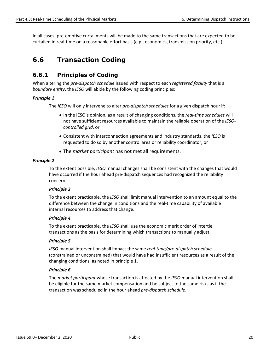In all cases, pre-emptive curtailments will be made to the same transactions that are expected to be curtailed in real-time on a reasonable effort basis (e.g., economics, transmission priority, etc.).

## <span id="page-26-0"></span>**6.6 Transaction Coding**

#### <span id="page-26-1"></span>**6.6.1 Principles of Coding**

When altering the *pre-dispatch schedule* issued with respect to each *registered facility* that is a *boundary entity*, the *IESO* will abide by the following coding principles:

#### *Principle 1*

The *IESO* will only intervene to alter *pre-dispatch schedules* for a given dispatch hour if:

- In the IESO's opinion, as a result of changing conditions, the *real-time schedules* will not have sufficient resources available to maintain the reliable operation of the *IESOcontrolled grid*, or
- Consistent with interconnection agreements and industry standards, the *IESO* is requested to do so by another control area or reliability coordinator, or
- The *market participant* has not met all requirements.

#### *Principle 2*

To the extent possible, *IESO* manual changes shall be consistent with the changes that would have occurred if the hour ahead pre-dispatch sequences had recognized the reliability concern.

#### *Principle 3*

To the extent practicable, the *IESO* shall limit manual intervention to an amount equal to the difference between the change in conditions and the real-time capability of available internal resources to address that change.

#### *Principle 4*

To the extent practicable, the *IESO* shall use the economic merit order of intertie transactions as the basis for determining which transactions to manually adjust.

#### *Principle 5*

*IESO* manual intervention shall impact the same *real-time/pre-dispatch schedule* (constrained or unconstrained) that would have had insufficient resources as a result of the changing conditions, as noted in principle 1.

#### *Principle 6*

The *market participant* whose transaction is affected by the *IESO* manual intervention shall be eligible for the same market compensation and be subject to the same risks as if the transaction was scheduled in the hour ahead *pre-dispatch schedule*.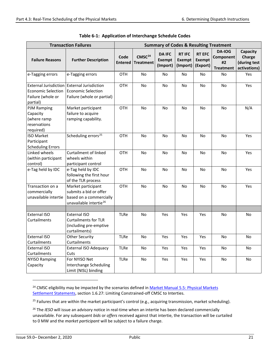<span id="page-27-0"></span>

|                                                                                            | <b>Transaction Failures</b>                                                                                   | <b>Summary of Codes &amp; Resulting Treatment</b> |                                        |                                            |                                            |                                            |                                               |                                                           |
|--------------------------------------------------------------------------------------------|---------------------------------------------------------------------------------------------------------------|---------------------------------------------------|----------------------------------------|--------------------------------------------|--------------------------------------------|--------------------------------------------|-----------------------------------------------|-----------------------------------------------------------|
| <b>Failure Reasons</b>                                                                     | <b>Further Description</b>                                                                                    | Code<br><b>Entered</b>                            | CMSC <sup>24</sup><br><b>Treatment</b> | <b>DA IFC</b><br><b>Exempt</b><br>(Import) | <b>RT IFC</b><br><b>Exempt</b><br>(Import) | <b>RT EFC</b><br><b>Exempt</b><br>(Export) | DA-IOG<br>Component<br>#2<br><b>Treatment</b> | <b>Capacity</b><br>Charge<br>(during test<br>activations) |
| e-Tagging errors                                                                           | e-Tagging errors                                                                                              | OTH                                               | No                                     | No                                         | No                                         | No                                         | No                                            | Yes                                                       |
| <b>External Jurisdiction</b><br><b>Economic Selection</b><br>Failure (whole or<br>partial) | <b>External Jurisdiction</b><br><b>Economic Selection</b><br>Failure (whole or partial)                       | <b>OTH</b>                                        | <b>No</b>                              | No                                         | <b>No</b>                                  | <b>No</b>                                  | <b>No</b>                                     | Yes                                                       |
| <b>PJM Ramping</b><br>Capacity<br>(where ramp<br>reservations<br>required)                 | Market participant<br>failure to acquire<br>ramping capability.                                               | <b>OTH</b>                                        | <b>No</b>                              | No                                         | No                                         | No                                         | <b>No</b>                                     | N/A                                                       |
| <b>ISO Market</b><br>Participant<br><b>Scheduling Errors</b>                               | Scheduling errors <sup>25</sup>                                                                               | <b>OTH</b>                                        | <b>No</b>                              | No                                         | No                                         | No                                         | No                                            | Yes                                                       |
| Linked wheels<br>(within participant<br>control)                                           | <b>Curtailment of linked</b><br>wheels within<br>participant control                                          | <b>OTH</b>                                        | <b>No</b>                              | No                                         | No                                         | No                                         | No                                            | Yes                                                       |
| e-Tag held by IDC                                                                          | e-Tag held by IDC<br>following the first hour<br>of the TLR process                                           | <b>OTH</b>                                        | No                                     | No                                         | No                                         | No                                         | No                                            | Yes                                                       |
| Transaction on a<br>commercially<br>unavailable intertie                                   | Market participant<br>submits a bid or offer<br>based on a commercially<br>unavailable intertie <sup>26</sup> | <b>OTH</b>                                        | No                                     | <b>No</b>                                  | <b>No</b>                                  | <b>No</b>                                  | <b>No</b>                                     | Yes                                                       |
|                                                                                            |                                                                                                               |                                                   |                                        |                                            |                                            |                                            |                                               |                                                           |
| <b>External ISO</b><br>Curtailments                                                        | <b>External ISO</b><br><b>Curtailments for TLR</b><br>(including pre-emptive<br>curtailments)                 | <b>TLRe</b>                                       | No                                     | Yes                                        | Yes                                        | Yes                                        | No                                            | No                                                        |
| <b>External ISO</b><br>Curtailments                                                        | <b>Other Security</b><br>Curtailments                                                                         | <b>TLRe</b>                                       | <b>No</b>                              | Yes                                        | Yes                                        | Yes                                        | <b>No</b>                                     | <b>No</b>                                                 |
| External ISO<br>Curtailments                                                               | <b>External ISO Adequacy</b><br>Cuts                                                                          | <b>TLRe</b>                                       | No                                     | Yes                                        | Yes                                        | Yes                                        | No                                            | No                                                        |
| <b>NYISO Ramping</b><br>Capacity                                                           | For NYISO Net<br>Interchange Scheduling<br>Limit (NISL) binding                                               | <b>TLRe</b>                                       | <b>No</b>                              | Yes                                        | Yes                                        | Yes                                        | <b>No</b>                                     | No                                                        |

<span id="page-27-1"></span><sup>24</sup> CMSC eligibility may be impacted by the scenarios defined in Market Manual 5.5: Physical Markets [Settlement Statements,](http://www.ieso.ca/-/media/files/ieso/document-library/market-rules-and-manuals-library/market-manuals/settlements/se-rtestatements.pdf) section 1.6.27: Limiting Constrained-off CMSC to Interties.

<span id="page-27-2"></span><sup>25</sup> Failures that are within the market participant's control (e.g., acquiring transmission, market scheduling).

<span id="page-27-3"></span><sup>26</sup> The *IESO* will issue an advisory notice in real-time when an intertie has been declared commercially unavailable. For any subsequent *bids* or *offers* received against that intertie, the transaction will be curtailed to 0 MW and the *market participant* will be subject to a failure charge.

**-**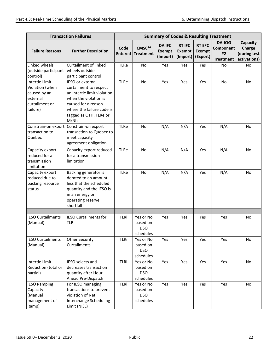|                          | <b>Transaction Failures</b>    | <b>Summary of Codes &amp; Resulting Treatment</b> |                                        |                                            |                                            |                                            |                                                      |                                                    |
|--------------------------|--------------------------------|---------------------------------------------------|----------------------------------------|--------------------------------------------|--------------------------------------------|--------------------------------------------|------------------------------------------------------|----------------------------------------------------|
| <b>Failure Reasons</b>   | <b>Further Description</b>     | Code<br><b>Entered</b>                            | CMSC <sup>24</sup><br><b>Treatment</b> | <b>DA IFC</b><br><b>Exempt</b><br>(Import) | <b>RT IFC</b><br><b>Exempt</b><br>(Import) | <b>RT EFC</b><br><b>Exempt</b><br>(Export) | <b>DA-IOG</b><br>Component<br>#2<br><b>Treatment</b> | Capacity<br>Charge<br>(during test<br>activations) |
| Linked wheels            | <b>Curtailment of linked</b>   | <b>TLRe</b>                                       | <b>No</b>                              | Yes                                        | Yes                                        | Yes                                        | <b>No</b>                                            | <b>No</b>                                          |
| (outside participant     | wheels outside                 |                                                   |                                        |                                            |                                            |                                            |                                                      |                                                    |
| control)                 | participant control            |                                                   |                                        |                                            |                                            |                                            |                                                      |                                                    |
| Intertie Limit           | IESO or external               | <b>TLRe</b>                                       | <b>No</b>                              | Yes                                        | Yes                                        | Yes                                        | <b>No</b>                                            | <b>No</b>                                          |
| Violation (when          | curtailment to respect         |                                                   |                                        |                                            |                                            |                                            |                                                      |                                                    |
| caused by an             | an intertie limit violation    |                                                   |                                        |                                            |                                            |                                            |                                                      |                                                    |
| external                 | when the violation is          |                                                   |                                        |                                            |                                            |                                            |                                                      |                                                    |
| curtailment or           | caused for a reason            |                                                   |                                        |                                            |                                            |                                            |                                                      |                                                    |
| failure)                 | where the failure code is      |                                                   |                                        |                                            |                                            |                                            |                                                      |                                                    |
|                          | tagged as OTH, TLRe or<br>MrNh |                                                   |                                        |                                            |                                            |                                            |                                                      |                                                    |
| Constrain-on export      | Constrain-on export            | <b>TLRe</b>                                       | <b>No</b>                              | N/A                                        | N/A                                        | Yes                                        | N/A                                                  | <b>No</b>                                          |
| transaction to           | transaction to Quebec to       |                                                   |                                        |                                            |                                            |                                            |                                                      |                                                    |
| Quebec                   | meet capacity                  |                                                   |                                        |                                            |                                            |                                            |                                                      |                                                    |
|                          | agreement obligation           |                                                   |                                        |                                            |                                            |                                            |                                                      |                                                    |
| Capacity export          | Capacity export reduced        | <b>TLRe</b>                                       | No                                     | N/A                                        | N/A                                        | Yes                                        | N/A                                                  | <b>No</b>                                          |
| reduced for a            | for a transmission             |                                                   |                                        |                                            |                                            |                                            |                                                      |                                                    |
| transmission             | limitation                     |                                                   |                                        |                                            |                                            |                                            |                                                      |                                                    |
| limitation               |                                |                                                   |                                        |                                            |                                            |                                            |                                                      |                                                    |
| Capacity export          | Backing generator is           | <b>TLRe</b>                                       | <b>No</b>                              | N/A                                        | N/A                                        | Yes                                        | N/A                                                  | <b>No</b>                                          |
| reduced due to           | derated to an amount           |                                                   |                                        |                                            |                                            |                                            |                                                      |                                                    |
| backing resource         | less that the scheduled        |                                                   |                                        |                                            |                                            |                                            |                                                      |                                                    |
| status                   | quantity and the IESO is       |                                                   |                                        |                                            |                                            |                                            |                                                      |                                                    |
|                          | in an energy or                |                                                   |                                        |                                            |                                            |                                            |                                                      |                                                    |
|                          | operating reserve              |                                                   |                                        |                                            |                                            |                                            |                                                      |                                                    |
|                          | shortfall                      |                                                   |                                        |                                            |                                            |                                            |                                                      |                                                    |
|                          |                                |                                                   |                                        |                                            |                                            |                                            |                                                      |                                                    |
| <b>IESO Curtailments</b> | <b>IESO Curtailments for</b>   | TLRi                                              | Yes or No                              | Yes                                        | Yes                                        | Yes                                        | Yes                                                  | No                                                 |
| (Manual)                 | <b>TLR</b>                     |                                                   | based on                               |                                            |                                            |                                            |                                                      |                                                    |
|                          |                                |                                                   | <b>DSO</b>                             |                                            |                                            |                                            |                                                      |                                                    |
|                          |                                |                                                   | schedules                              |                                            |                                            |                                            |                                                      |                                                    |
| <b>IESO Curtailments</b> | <b>Other Security</b>          | TLRi                                              | Yes or No                              | Yes                                        | Yes                                        | Yes                                        | Yes                                                  | No                                                 |
| (Manual)                 | Curtailments                   |                                                   | based on                               |                                            |                                            |                                            |                                                      |                                                    |
|                          |                                |                                                   | <b>DSO</b>                             |                                            |                                            |                                            |                                                      |                                                    |
|                          |                                |                                                   | schedules                              |                                            |                                            |                                            |                                                      |                                                    |
| Intertie Limit           | IESO selects and               | <b>TLRi</b>                                       | Yes or No                              | Yes                                        | Yes                                        | Yes                                        | Yes                                                  | No                                                 |
| Reduction (total or      | decreases transaction          |                                                   | based on                               |                                            |                                            |                                            |                                                      |                                                    |
| partial)                 | quantity after Hour-           |                                                   | <b>DSO</b>                             |                                            |                                            |                                            |                                                      |                                                    |
|                          | Ahead Pre-Dispatch             |                                                   | schedules                              |                                            |                                            |                                            |                                                      |                                                    |
| <b>IESO Ramping</b>      | For IESO managing              | <b>TLRi</b>                                       | Yes or No                              | Yes                                        | Yes                                        | Yes                                        | Yes                                                  | No                                                 |
| Capacity                 | transactions to prevent        |                                                   | based on                               |                                            |                                            |                                            |                                                      |                                                    |
| (Manual                  | violation of Net               |                                                   | <b>DSO</b>                             |                                            |                                            |                                            |                                                      |                                                    |
| management of            | <b>Interchange Scheduling</b>  |                                                   | schedules                              |                                            |                                            |                                            |                                                      |                                                    |
| Ramp)                    | Limit (NISL)                   |                                                   |                                        |                                            |                                            |                                            |                                                      |                                                    |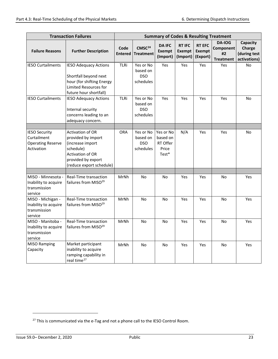| <b>Transaction Failures</b>                                                   | <b>Summary of Codes &amp; Resulting Treatment</b>                                                                                             |                        |                                                  |                                                     |                                            |                                            |                                               |                                                    |
|-------------------------------------------------------------------------------|-----------------------------------------------------------------------------------------------------------------------------------------------|------------------------|--------------------------------------------------|-----------------------------------------------------|--------------------------------------------|--------------------------------------------|-----------------------------------------------|----------------------------------------------------|
| <b>Failure Reasons</b>                                                        | <b>Further Description</b>                                                                                                                    | Code<br><b>Entered</b> | CMSC <sup>24</sup><br><b>Treatment</b>           | <b>DA IFC</b><br><b>Exempt</b><br>(Import)          | <b>RT IFC</b><br><b>Exempt</b><br>(Import) | <b>RT EFC</b><br><b>Exempt</b><br>(Export) | DA-IOG<br>Component<br>#2<br><b>Treatment</b> | Capacity<br>Charge<br>(during test<br>activations) |
| <b>IESO Curtailments</b>                                                      | <b>IESO Adequacy Actions</b>                                                                                                                  | TLRi                   | Yes or No<br>based on                            | Yes                                                 | Yes                                        | Yes                                        | Yes                                           | <b>No</b>                                          |
|                                                                               | Shortfall beyond next<br>hour (for shifting Energy<br>Limited Resources for<br>future hour shortfall)                                         |                        | <b>DSO</b><br>schedules                          |                                                     |                                            |                                            |                                               |                                                    |
| <b>IESO Curtailments</b>                                                      | <b>IESO Adequacy Actions</b><br>Internal security<br>concerns leading to an<br>adequacy concern.                                              | TLRi                   | Yes or No<br>based on<br><b>DSO</b><br>schedules | Yes                                                 | Yes                                        | Yes                                        | Yes                                           | <b>No</b>                                          |
| <b>IESO Security</b><br>Curtailment<br><b>Operating Reserve</b><br>Activation | Activation of OR<br>provided by import<br>(increase import<br>schedule)<br>Activation of OR<br>provided by export<br>(reduce export schedule) | <b>ORA</b>             | Yes or No<br>based on<br><b>DSO</b><br>schedules | Yes or No<br>based on<br>RT Offer<br>Price<br>Test* | N/A                                        | Yes                                        | Yes                                           | No                                                 |
|                                                                               |                                                                                                                                               |                        |                                                  |                                                     |                                            |                                            |                                               |                                                    |
| MISO - Minnesota -<br>Inability to acquire<br>transmission<br>service         | Real-Time transaction<br>failures from MISO <sup>29</sup>                                                                                     | MrNh                   | <b>No</b>                                        | <b>No</b>                                           | Yes                                        | Yes                                        | <b>No</b>                                     | Yes                                                |
| MISO - Michigan -<br>Inability to acquire<br>transmission<br>service          | Real-Time transaction<br>failures from MISO <sup>29</sup>                                                                                     | MrNh                   | No                                               | No                                                  | Yes                                        | Yes                                        | No                                            | Yes                                                |
| MISO - Manitoba -<br>Inability to acquire<br>transmission<br>service          | Real-Time transaction<br>failures from MISO <sup>29</sup>                                                                                     | MrNh                   | No                                               | No                                                  | Yes                                        | Yes                                        | No                                            | Yes                                                |
| <b>MISO Ramping</b><br>Capacity                                               | Market participant<br>inability to acquire<br>ramping capability in<br>real time <sup>27</sup>                                                | MrNh                   | No                                               | No                                                  | Yes                                        | Yes                                        | No.                                           | Yes                                                |

<span id="page-29-0"></span> $27$  This is communicated via the e-Tag and not a phone call to the IESO Control Room.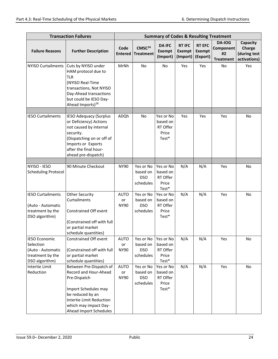| <b>Transaction Failures</b>                                                                  | <b>Summary of Codes &amp; Resulting Treatment</b>                                                                                                                                                 |                                  |                                                  |                                                     |                                            |                                            |                                                      |                                                    |
|----------------------------------------------------------------------------------------------|---------------------------------------------------------------------------------------------------------------------------------------------------------------------------------------------------|----------------------------------|--------------------------------------------------|-----------------------------------------------------|--------------------------------------------|--------------------------------------------|------------------------------------------------------|----------------------------------------------------|
| <b>Failure Reasons</b>                                                                       | <b>Further Description</b>                                                                                                                                                                        | Code<br><b>Entered</b>           | CMSC <sup>24</sup><br><b>Treatment</b>           | <b>DA IFC</b><br><b>Exempt</b><br>(Import)          | <b>RT IFC</b><br><b>Exempt</b><br>(Import) | <b>RT EFC</b><br><b>Exempt</b><br>(Export) | <b>DA-IOG</b><br>Component<br>#2<br><b>Treatment</b> | Capacity<br>Charge<br>(during test<br>activations) |
| <b>NYISO Curtailments</b>                                                                    | Cuts by NYISO under<br>HAM protocol due to<br><b>TLR</b><br>(NYISO Real-Time<br>transactions, Not NYISO<br>Day-Ahead transactions<br>but could be IESO Day-<br>Ahead Imports) <sup>28</sup>       | MrNh                             | No                                               | No                                                  | Yes                                        | Yes                                        | No                                                   | Yes                                                |
| <b>IESO Curtailments</b>                                                                     | <b>IESO Adequacy (Surplus</b><br>or Deficiency) Actions<br>not caused by internal<br>security.<br>(Dispatching on or off of<br>Imports or Exports<br>after the final hour-<br>ahead pre-dispatch) | ADQh                             | No                                               | Yes or No<br>based on<br>RT Offer<br>Price<br>Test* | Yes                                        | Yes                                        | Yes                                                  | <b>No</b>                                          |
| NYISO - IESO<br><b>Scheduling Protocol</b>                                                   | 90 Minute Checkout                                                                                                                                                                                | <b>NY90</b>                      | Yes or No<br>based on<br><b>DSO</b><br>schedules | Yes or No<br>based on<br>RT Offer<br>Price<br>Test* | N/A                                        | N/A                                        | Yes                                                  | No                                                 |
| <b>IESO Curtailments</b><br>(Auto - Automatic<br>treatment by the<br>DSO algorithm)          | <b>Other Security</b><br>Curtailments<br>Constrained Off event<br>(Constrained off with full<br>or partial market<br>schedule quantities)                                                         | <b>AUTO</b><br>or<br><b>NY90</b> | Yes or No<br>based on<br><b>DSO</b><br>schedules | Yes or No<br>based on<br>RT Offer<br>Price<br>Test* | N/A                                        | N/A                                        | Yes                                                  | No                                                 |
| <b>IESO Economic</b><br>Selection<br>(Auto - Automatic<br>treatment by the<br>DSO algorithm) | Constrained Off event<br>(Constrained off with full<br>or partial market<br>schedule quantities)                                                                                                  | <b>AUTO</b><br>or<br><b>NY90</b> | Yes or No<br>based on<br><b>DSO</b><br>schedules | Yes or No<br>based on<br>RT Offer<br>Price<br>Test* | N/A                                        | N/A                                        | Yes                                                  | No                                                 |
| Intertie Limit<br>Reduction                                                                  | Between Pre-Dispatch of<br>Record and Hour-Ahead<br>Pre-Dispatch<br>Import Schedules may<br>be reduced by an<br>Intertie Limit Reduction<br>which may impact Day-<br>Ahead Import Schedules       | <b>AUTO</b><br>or<br><b>NY90</b> | Yes or No<br>based on<br><b>DSO</b><br>schedules | Yes or No<br>based on<br>RT Offer<br>Price<br>Test* | N/A                                        | N/A                                        | Yes                                                  | No                                                 |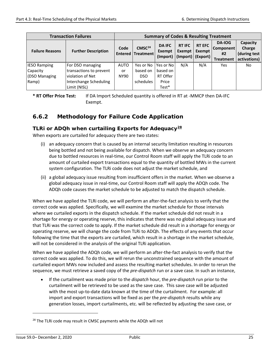|                                                      | <b>Transaction Failures</b> | <b>Summary of Codes &amp; Resulting Treatment</b> |                                                |                                            |                                                                             |                         |                                                      |                                                    |
|------------------------------------------------------|-----------------------------|---------------------------------------------------|------------------------------------------------|--------------------------------------------|-----------------------------------------------------------------------------|-------------------------|------------------------------------------------------|----------------------------------------------------|
| <b>Further Description</b><br><b>Failure Reasons</b> |                             | Code                                              | CMSC <sup>24</sup><br><b>Entered Treatment</b> | <b>DA IFC</b><br><b>Exempt</b><br>(Import) | <b>RT IFC</b><br><b>Exempt</b><br>$\vert$ (Import) $\vert$ (Export) $\vert$ | <b>RT EFC</b><br>Exempt | DA-IOG<br><b>Component</b><br>#2<br><b>Treatment</b> | Capacity<br>Charge<br>(during test<br>activations) |
| <b>IESO Ramping</b>                                  | For DSO managing            | <b>AUTO</b>                                       | Yes or No                                      | Yes or No                                  | N/A                                                                         | N/A                     | Yes                                                  | No                                                 |
| Capacity                                             | transactions to prevent     | or                                                | based on                                       | based on                                   |                                                                             |                         |                                                      |                                                    |
| (DSO Managing                                        | violation of Net            | NY90                                              | DSO.                                           | RT Offer                                   |                                                                             |                         |                                                      |                                                    |
| Ramp)                                                | Interchange Scheduling      |                                                   | schedules                                      | Price                                      |                                                                             |                         |                                                      |                                                    |
|                                                      | Limit (NISL)                |                                                   |                                                | $Test*$                                    |                                                                             |                         |                                                      |                                                    |

**\* RT Offer Price Test:** If DA Import Scheduled quantity is offered in RT at -MMCP then DA-IFC Exempt.

#### <span id="page-31-0"></span>**6.6.2 Methodology for Failure Code Application**

#### **TLRi or ADQh when curtailing Exports for Adequacy[28](#page-31-1)**

When exports are curtailed for adequacy there are two states:

- (i) an adequacy concern that is caused by an internal security limitation resulting in resources being bottled and not being available for dispatch. When we observe an adequacy concern due to bottled resources in real-time, our Control Room staff will apply the TLRi code to an amount of curtailed export transactions equal to the quantity of bottled MWs in the current system configuration. The TLRi code does not adjust the market schedule, and
- (ii) a global adequacy issue resulting from insufficient offers in the market. When we observe a global adequacy issue in real-time, our Control Room staff will apply the ADQh code. The ADQh code causes the market schedule to be adjusted to match the dispatch schedule.

When we have applied the TLRi code, we will perform an after-the-fact analysis to verify that the correct code was applied. Specifically, we will examine the market schedule for those intervals where we curtailed exports in the dispatch schedule. If the market schedule did not result in a shortage for energy or operating reserve, this indicates that there was no global adequacy issue and that TLRi was the correct code to apply. If the market schedule did result in a shortage for energy or operating reserve, we will change the code from TLRi to ADQh. The effects of any events that occur following the time that the exports are curtailed, which result in a shortage in the market schedule, will not be considered in the analysis of the original TLRi application.

When we have applied the ADQh code, we will perform an after-the-fact analysis to verify that the correct code was applied. To do this, we will rerun the unconstrained sequence with the amount of curtailed export MWs now included and assess the resulting market schedules. In order to rerun the sequence, we must retrieve a saved copy of the *pre-dispatch* run or a save case. In such an instance,

• If the curtailment was made prior to the *dispatch* hour, the *pre-dispatch* run prior to the curtailment will be retrieved to be used as the save case. This save case will be adjusted with the most up-to-date data known at the time of the curtailment. For example: all import and export transactions will be fixed as per the *pre-dispatch* results while any generation losses, import curtailments, etc. will be reflected by adjusting the save case, or

<span id="page-31-1"></span><sup>&</sup>lt;sup>28</sup> The TLRi code may result in CMSC payments while the ADQh will not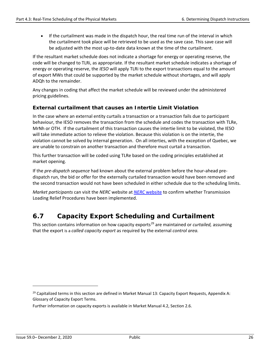• If the curtailment was made in the dispatch hour, the real time run of the interval in which the curtailment took place will be retrieved to be used as the save case. This save case will be adjusted with the most up-to-date data known at the time of the curtailment.

If the resultant market schedule does not indicate a shortage for energy or operating reserve, the code will be changed to TLRi, as appropriate. If the resultant market schedule indicates a shortage of energy or operating reserve, the *IESO* will apply TLRi to the export transactions equal to the amount of export MWs that could be supported by the market schedule without shortages, and will apply ADQh to the remainder.

Any changes in coding that affect the market schedule will be reviewed under the administered pricing guidelines.

#### **External curtailment that causes an Intertie Limit Violation**

In the case where an external entity curtails a transaction or a transaction fails due to participant behaviour, the IESO removes the transaction from the schedule and codes the transaction with TLRe, MrNh or OTH. If the curtailment of this transaction causes the intertie limit to be violated, the IESO will take immediate action to relieve the violation. Because this violation is on the intertie, the violation cannot be solved by internal generation. On all interties, with the exception of Quebec, we are unable to constrain on another transaction and therefore must curtail a transaction.

This further transaction will be coded using TLRe based on the coding principles established at market opening.

If the *pre-dispatch sequence* had known about the external problem before the hour‐ahead predispatch run, the bid or offer for the externally curtailed transaction would have been removed and the second transaction would not have been scheduled in either schedule due to the scheduling limits.

*Market participants* can visit the *NERC* website at *NERC* [website](http://www.nerc.com/) to confirm whether Transmission Loading Relief Procedures have been implemented.

## <span id="page-32-0"></span>**6.7 Capacity Export Scheduling and Curtailment**

This section contains information on how capacity exports[29](#page-32-1) are maintained or *curtailed,* assuming that the export is a *called capacity export* as required by the external *control area.*

<span id="page-32-1"></span><sup>&</sup>lt;sup>29</sup> Capitalized terms in this section are defined in Market Manual 13: Capacity Export Requests, Appendix A: Glossary of Capacity Export Terms.

Further information on capacity exports is available in Market Manual 4.2, Section 2.6.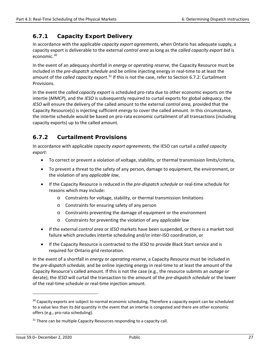### <span id="page-33-0"></span>**6.7.1 Capacity Export Delivery**

In accordance with the applicable *capacity export agreements*, when Ontario has adequate supply, a capacity export is deliverable to the external *control area* as long as the *called capacity export bid* is economic.[30](#page-33-2)

In the event of an adequacy shortfall in *energy* or *operating reserve*, the Capacity Resource must be included in the *pre-dispatch schedule* and be online injecting energy in real-time to at least the amount of the *called capacity export*.<sup>[31](#page-33-3)</sup> If this is not the case, refer to Section 6.7.2: Curtailment Provisions.

In the event the *called capacity export* is scheduled pro-rata due to other economic exports on the intertie (*MMCP*), and the *IESO* is subsequently required to curtail exports for global *adequacy*, the *IESO* will ensure the delivery of the called amount to the external *control area,* provided that the Capacity Resource(s) is injecting sufficient *energy* to cover the called amount. In this circumstance, the intertie schedule would be based on pro-rata economic curtailment of all transactions (including capacity exports) up to the called amount.

### <span id="page-33-1"></span>**6.7.2 Curtailment Provisions**

In accordance with applicable *capacity export agreements*, the IESO can curtail a *called capacity export*:

- To correct or prevent a violation of voltage, stability, or thermal transmission limits/criteria,
- To prevent a threat to the safety of any person, damage to equipment, the environment, or the violation of any *applicable law*,
- If the Capacity Resource is reduced in the *pre-dispatch schedule* or real-time schedule for reasons which may include:
	- o Constraints for voltage, stability, or thermal transmission limitations
	- o Constraints for ensuring safety of any person
	- o Constraints preventing the damage of equipment or the environment
	- o Constraints for preventing the violation of any *applicable law*
- If the external *control area* or *IESO* markets have been suspended, or there is a market tool failure which precludes intertie scheduling and/or inter-ISO coordination, or
- If the Capacity Resource is contracted to the *IESO* to provide Black Start service and is required for Ontario grid restoration.

In the event of a shortfall in *energy* or *operating reserve*, a Capacity Resource must be included in the *pre-dispatch schedule,* and be online injecting energy in real-time to at least the amount of the Capacity Resource's called amount. If this is not the case (e.g., the resource submits an *outage* or derate), the *IESO* will curtail the transaction to the amount of the *pre-dispatch schedule* or the lower of the real-time schedule or real-time injection amount.

<span id="page-33-2"></span><sup>&</sup>lt;sup>30</sup> Capacity exports are subject to normal economic scheduling. Therefore a capacity export can be scheduled to a value less than its *bid* quantity in the event that an intertie is congested and there are other economic offers (e.g., pro-rata scheduling).

<span id="page-33-3"></span> $31$  There can be multiple Capacity Resources responding to a capacity call.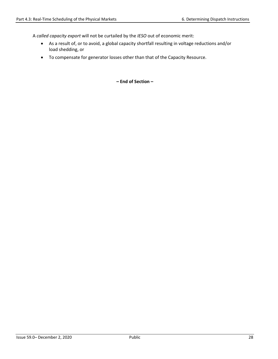A *called capacity export* will not be curtailed by the *IESO* out of economic merit:

- As a result of, or to avoid, a global capacity shortfall resulting in voltage reductions and/or load shedding, or
- To compensate for generator losses other than that of the Capacity Resource.

**– End of Section –**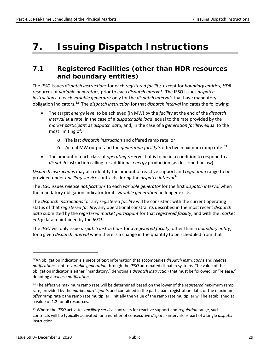## <span id="page-35-0"></span>**7. Issuing Dispatch Instructions**

### <span id="page-35-1"></span>**7.1 Registered Facilities (other than HDR resources and boundary entities)**

The *IESO* issues *dispatch instructions* for each *registered facility,* except for *boundary entities, HDR*  resources or *variable generators,* prior to each *dispatch interval*. The IESO issues *dispatch instructions* to each *variable generator* only for the *dispatch intervals* that have mandatory obligation indicators.[32](#page-35-2) The *dispatch instruction* for that *dispatch interval* indicates the following:

- The target *energy* level to be achieved (in MW) by the *facility* at the end of the *dispatch interval* at a rate, in the case of a *dispatchable load*, equal to the rate provided by the *market participan*t as *dispatch data*, and, in the case of a *generation facility,* equal to the most limiting of:
	- o The last *dispatch instruction* and offered ramp rate, or
	- o Actual MW output and the *generation facility's* effective maximum ramp rate. [33](#page-35-3)
- The amount of each class of *operating reserve* that is to be in a condition to respond to a *dispatch* instruction calling for additional *energy* production (as described below).

*Dispatch instructions* may also identify the amount of reactive support and *regulation* range to be provided under *ancillary service* contracts during the *dispatch interval*[34](#page-35-4).

The *IESO* issues *release notifications* to each *variable generator* for the first *dispatch interval* when the mandatory obligation indicator for its *variable generation* no longer exists*.*

The *dispatch instructions* for any *registered facility* will be consistent with the current operating status of that *registered facility*, any operational constraints described in the most recent *dispatch data* submitted by the *registered market participant* for that *registered facility*, and with the *market entry* data maintained by the *IESO*.

The *IESO* will only issue *dispatch instructions* for a *registered facility*, other than a *boundary entity*, for a given *dispatch interval* when there is a change in the quantity to be scheduled from that

<span id="page-35-2"></span><sup>32</sup>An obligation indicator is a piece of text information that accompanies *dispatch instructions* and *release notifications* sent to *variable generation* through the *IESO* automated dispatch systems. The value of the obligation indicator is either "mandatory," denoting a *dispatch instruction* that must be followed, or "release," denoting a *release notification*.

<span id="page-35-3"></span><sup>33</sup> The effective maximum ramp rate will be determined based on the lower of the r*egistered* maximum ramp rate, provided by the *market participants* and contained in the participant registration data, or the maximum *offer* ramp rate x the ramp rate multiplier. Initially the value of the ramp rate multiplier will be established at a value of 1.2 for all resources.

<span id="page-35-4"></span><sup>34</sup> Where the *IESO* activates *ancillary service* contracts for reactive support and *regulation* range, such contracts will be typically activated for a number of consecutive *dispatch* intervals as part of a single *dispatch* instruction.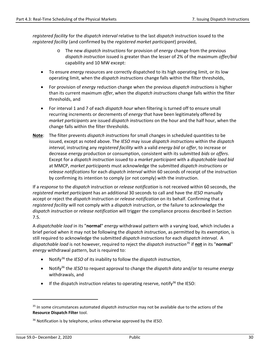*registered facility* for the *dispatch interval* relative to the last *dispatch* instruction issued to the *registered facility* (and confirmed by the *registered market participant*) provided,

- o The new *dispatch instructions* for provision of *energy* change from the previous *dispatch instruction* issued is greater than the lesser of 2% of the maximum *offer/bid* capability and 10 MW except:
- To ensure *energy* resources are correctly dispatched to its high operating limit, or its low operating limit, when the *dispatch instructions* change falls within the filter thresholds,
- For provision of *energy* reduction change when the previous *dispatch instructions* is higher than its current maximum *offer*, when the *dispatch instructions* change falls within the filter thresholds, and
- For interval 1 and 7 of each *dispatch hour* when filtering is turned off to ensure small recurring increments or decrements of *energy* that have been legitimately offered by *market participants* are issued *dispatch instructions* on the hour and the half hour, when the change falls within the filter thresholds.
- **Note**: The filter prevents *dispatch instructions* for small changes in scheduled quantities to be issued, except as noted above. The *IESO* may issue *dispatch instructions* within the *dispatch interval*, instructing any *registered facility* with a valid *energy bid* or *offer*, to increase or decrease *energy* production or consumption, consistent with its submitted *bids* or *offers*. Except for a *dispatch instruction* issued to a *market participant* with a *dispatchable load bid* at MMCP, *market participants* must acknowledge the submitted *dispatch instructions* or *release notifications* for each *dispatch interval* within 60 seconds of receipt of the instruction by confirming its intention to comply (or not comply) with the instruction.

If a *response* to the *dispatch* instruction or *release notification* is not received within 60 seconds, the *registered market participant* has an additional 30 seconds to call and have the *IESO* manually accept or reject the *dispatch* instruction or *release notification* on its behalf. Confirming that a *registered facility* will not comply with a *dispatch* instruction, or the failure to acknowledge the *dispatch instruction* or *release notification* will trigger the compliance process described in Section 7.5.

A *dispatchable load* in its "**normal**" *energy* withdrawal pattern with a varying load, which includes a brief period when it may not be following the *dispatch instruction*, as permitted by its exemption, is still required to acknowledge the submitted *dispatch instructions* for each *dispatch interval*. A *dispatchable load* is not however, required to reject the *dispatch instruction*[35](#page-36-0) if **not** in its "**normal**" *energy* withdrawal pattern, but is required to:

- Notify[36](#page-36-1) the *IESO* of its inability to follow the *dispatch instruction*,
- Notify36 the *IESO* to request approval to change the *dispatch data* and/or to resume *energy* withdrawals, and
- If the dispatch instruction relates to operating reserve, notify<sup>36</sup> the IESO:

<span id="page-36-0"></span><sup>35</sup> In some circumstances automated *dispatch instruction* may not be available due to the actions of the **Resource Dispatch Filter** tool.

<span id="page-36-1"></span><sup>36</sup> Notification is by telephone, unless otherwise approved by the *IESO*.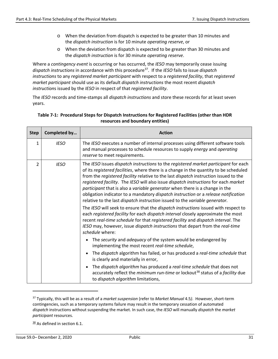- o When the deviation from dispatch is expected to be greater than 10 minutes and the *dispatch instruction* is for 10 minute *operating reserve*, or
- o When the deviation from dispatch is expected to be greater than 30 minutes and the *dispatch instruction* is for 30 minute *operating reserve*.

Where a *contingency event* is occurring or has occurred, the *IESO* may temporarily cease issuing *dispatch instructions* in accordance with this procedure[37](#page-37-1). If the *IESO* fails to issue *dispatch instructions* to any *registered market participant* with respect to a *registered facility*, that *registered market participant* should use as its default *dispatch instructions* the most recent *dispatch instruction*s issued by the *IESO* in respect of that *registered facility*.

The *IESO* records and time-stamps all *dispatch instructions* and store these records for at least seven years.

| <b>Step</b>   | Completed by | <b>Action</b>                                                                                                                                                                                                                                                                                                                                                                                                                                                                                                                                                                                                   |
|---------------|--------------|-----------------------------------------------------------------------------------------------------------------------------------------------------------------------------------------------------------------------------------------------------------------------------------------------------------------------------------------------------------------------------------------------------------------------------------------------------------------------------------------------------------------------------------------------------------------------------------------------------------------|
| $\mathbf{1}$  | <b>IESO</b>  | The IESO executes a number of internal processes using different software tools<br>and manual processes to schedule resources to supply energy and operating<br>reserve to meet requirements.                                                                                                                                                                                                                                                                                                                                                                                                                   |
| $\mathcal{P}$ | <b>IESO</b>  | The IESO issues dispatch instructions to the registered market participant for each<br>of its registered facilities, where there is a change in the quantity to be scheduled<br>from the registered facility relative to the last dispatch instruction issued to the<br>registered facility. The IESO will also issue dispatch instructions for each market<br>participant that is also a variable generator when there is a change in the<br>obligation indicator to a mandatory dispatch instruction or a release notification<br>relative to the last dispatch instruction issued to the variable generator. |
|               |              | The IESO will seek to ensure that the dispatch instructions issued with respect to<br>each registered facility for each dispatch interval closely approximate the most<br>recent real-time schedule for that registered facility and dispatch interval. The<br>IESO may, however, issue dispatch instructions that depart from the real-time<br>schedule where:                                                                                                                                                                                                                                                 |
|               |              | The security and adequacy of the system would be endangered by<br>implementing the most recent real-time schedule,                                                                                                                                                                                                                                                                                                                                                                                                                                                                                              |
|               |              | The dispatch algorithm has failed, or has produced a real-time schedule that<br>is clearly and materially in error,                                                                                                                                                                                                                                                                                                                                                                                                                                                                                             |
|               |              | The dispatch algorithm has produced a real-time schedule that does not<br>accurately reflect the <i>minimum run-time</i> or lockout <sup>38</sup> status of a <i>facility</i> due<br>to dispatch algorithm limitations,                                                                                                                                                                                                                                                                                                                                                                                         |

#### <span id="page-37-0"></span>**Table 7-1: Procedural Steps for Dispatch Instructions for Registered Facilities (other than HDR resources and boundary entities)**

<span id="page-37-2"></span> $\frac{38}{36}$  As defined in section 6.1.

<span id="page-37-1"></span><sup>37</sup> Typically, this will be as a result of a *market suspension* (refer to *Market Manual* 4.5*)*. However, short-term contingencies, such as a temporary systems failure may result in the temporary cessation of automated *dispatch* instructions without suspending the market. In such case, the *IESO* will manually *dispatch* the *market participant* resources.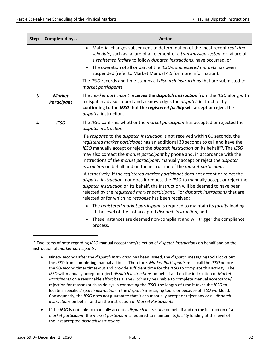| <b>Step</b> | Completed by                        | <b>Action</b>                                                                                                                                                                                                                                                                                                                                                                                                                                                                                                             |
|-------------|-------------------------------------|---------------------------------------------------------------------------------------------------------------------------------------------------------------------------------------------------------------------------------------------------------------------------------------------------------------------------------------------------------------------------------------------------------------------------------------------------------------------------------------------------------------------------|
|             |                                     | Material changes subsequent to determination of the most recent real-time<br>$\bullet$<br>schedule, such as failure of an element of a transmission system or failure of<br>a registered facility to follow dispatch instructions, have occurred, or                                                                                                                                                                                                                                                                      |
|             |                                     | The operation of all or part of the IESO-administered markets has been<br>suspended (refer to Market Manual 4.5 for more information).                                                                                                                                                                                                                                                                                                                                                                                    |
|             |                                     | The IESO records and time-stamps all dispatch instructions that are submitted to<br>market participants.                                                                                                                                                                                                                                                                                                                                                                                                                  |
| 3           | <b>Market</b><br><b>Participant</b> | The market participant receives the dispatch instruction from the IESO along with<br>a dispatch advisor report and acknowledges the dispatch instruction by<br>confirming to the IESO that the registered facility will accept or reject the<br>dispatch instruction.                                                                                                                                                                                                                                                     |
| 4           | <b>IESO</b>                         | The IESO confirms whether the market participant has accepted or rejected the<br>dispatch instruction.                                                                                                                                                                                                                                                                                                                                                                                                                    |
|             |                                     | If a response to the dispatch instruction is not received within 60 seconds, the<br>registered market participant has an additional 30 seconds to call and have the<br>IESO manually accept or reject the dispatch instruction on its behalf <sup>39</sup> . The IESO<br>may also contact the <i>market participant</i> by phone and, in accordance with the<br>instructions of the market participant, manually accept or reject the dispatch<br>instruction on behalf and on the instruction of the market participant. |
|             |                                     | Alternatively, if the registered market participant does not accept or reject the<br>dispatch instruction, nor does it request the IESO to manually accept or reject the<br>dispatch instruction on its behalf, the instruction will be deemed to have been<br>rejected by the registered market participant. For dispatch instructions that are<br>rejected or for which no response has been received:                                                                                                                  |
|             |                                     | The registered market participant is required to maintain its facility loading<br>at the level of the last accepted dispatch instruction, and                                                                                                                                                                                                                                                                                                                                                                             |
|             |                                     | These instances are deemed non-compliant and will trigger the compliance<br>process.                                                                                                                                                                                                                                                                                                                                                                                                                                      |

<span id="page-38-0"></span><sup>39</sup> Two items of note regarding *IESO* manual acceptance/rejection of *dispatch instructions* on behalf and on the instruction of *market participants*:

- Ninety seconds after the *dispatch instruction* has been issued, the *dispatch* messaging tools locks out the *IESO* from completing manual actions. Therefore, *Market Participants* must call the *IESO* before the 90-second timer times-out and provide sufficient time for the *IESO* to complete this activity. The *IESO* will manually accept or reject *dispatch instructions* on behalf and on the instruction of *Market Participants* on a reasonable effort basis. The *IESO* may be unable to complete manual acceptance/ rejection for reasons such as delays in contacting the *IESO*, the length of time it takes the *IESO* to locate a specific *dispatch instruction* in the *dispatch* messaging tools, or because of *IESO* workload. Consequently, the *IESO* does not guarantee that it can manually accept or reject any or all *dispatch instructions* on behalf and on the instruction of *Market Participants*.
- If the *IESO* is not able to manually accept a *dispatch instruction* on behalf and on the instruction of a *market participant*, the *market participant* is required to maintain its *facility* loading at the level of the last accepted *dispatch instructions*.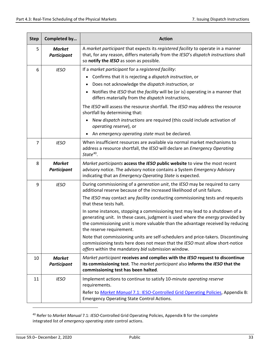| <b>Step</b> | Completed by                        | <b>Action</b>                                                                                                                                                                                                                                                                 |
|-------------|-------------------------------------|-------------------------------------------------------------------------------------------------------------------------------------------------------------------------------------------------------------------------------------------------------------------------------|
| 5           | <b>Market</b><br><b>Participant</b> | A market participant that expects its registered facility to operate in a manner<br>that, for any reason, differs materially from the IESO's dispatch instructions shall<br>so notify the IESO as soon as possible.                                                           |
| 6           | <b>IESO</b>                         | If a market participant for a registered facility:                                                                                                                                                                                                                            |
|             |                                     | Confirms that it is rejecting a dispatch instruction, or                                                                                                                                                                                                                      |
|             |                                     | Does not acknowledge the dispatch instruction, or<br>٠                                                                                                                                                                                                                        |
|             |                                     | Notifies the IESO that the facility will be (or is) operating in a manner that<br>differs materially from the dispatch instructions,                                                                                                                                          |
|             |                                     | The IESO will assess the resource shortfall. The IESO may address the resource<br>shortfall by determining that:                                                                                                                                                              |
|             |                                     | New dispatch instructions are required (this could include activation of<br>operating reserve), or                                                                                                                                                                            |
|             |                                     | An emergency operating state must be declared.                                                                                                                                                                                                                                |
| 7           | <b>IESO</b>                         | When insufficient resources are available via normal market mechanisms to<br>address a resource shortfall, the IESO will declare an Emergency Operating<br>State $40$ .                                                                                                       |
| 8           | <b>Market</b><br>Participant        | Market participants access the IESO public website to view the most recent<br>advisory notice. The advisory notice contains a System Emergency Advisory<br>indicating that an Emergency Operating State is expected.                                                          |
| 9           | <b>IESO</b>                         | During commissioning of a generation unit, the IESO may be required to carry<br>additional reserve because of the increased likelihood of unit failure.                                                                                                                       |
|             |                                     | The IESO may contact any facility conducting commissioning tests and requests<br>that these tests halt.                                                                                                                                                                       |
|             |                                     | In some instances, stopping a commissioning test may lead to a shutdown of a<br>generating unit. In these cases, judgment is used where the energy provided by<br>the commissioning unit is more valuable than the advantage received by reducing<br>the reserve requirement. |
|             |                                     | Note that commissioning units are self-schedulers and price-takers. Discontinuing<br>commissioning tests here does not mean that the IESO must allow short-notice<br>offers within the mandatory bid submission window.                                                       |
| 10          | <b>Market</b><br>Participant        | Market participant receives and complies with the IESO request to discontinue<br>its commissioning test. The market participant also informs the IESO that the<br>commissioning test has been halted.                                                                         |
| 11          | <b>IESO</b>                         | Implement actions to continue to satisfy 10-minute operating reserve<br>requirements.                                                                                                                                                                                         |
|             |                                     | Refer to Market Manual 7.1: IESO-Controlled Grid Operating Policies, Appendix B:<br><b>Emergency Operating State Control Actions.</b>                                                                                                                                         |

<span id="page-39-0"></span><sup>40</sup> Refer to *Market Manual* 7.1: *IESO*-Controlled Grid Operating Policies, Appendix B for the complete integrated list of *emergency operating state* control actions.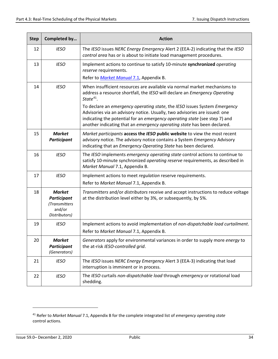| <b>Step</b> | Completed by                                                                    | <b>Action</b>                                                                                                                                                                                                                                                                                                    |
|-------------|---------------------------------------------------------------------------------|------------------------------------------------------------------------------------------------------------------------------------------------------------------------------------------------------------------------------------------------------------------------------------------------------------------|
| 12          | <b>IESO</b>                                                                     | The IESO issues NERC Energy Emergency Alert 2 (EEA-2) indicating that the IESO<br>control area has or is about to initiate load management procedures.                                                                                                                                                           |
| 13          | <b>IESO</b>                                                                     | Implement actions to continue to satisfy 10-minute synchronized operating<br>reserve requirements.                                                                                                                                                                                                               |
|             |                                                                                 | Refer to Market Manual 7.1, Appendix B.                                                                                                                                                                                                                                                                          |
| 14          | <b>IESO</b>                                                                     | When insufficient resources are available via normal market mechanisms to<br>address a resource shortfall, the IESO will declare an Emergency Operating<br>State $41$ .                                                                                                                                          |
|             |                                                                                 | To declare an emergency operating state, the IESO issues System Emergency<br>Advisories via an advisory notice. Usually, two advisories are issued: one<br>indicating the potential for an emergency operating state (see step 7) and<br>another indicating that an emergency operating state has been declared. |
| 15          | <b>Market</b><br><b>Participant</b>                                             | Market participants access the IESO public website to view the most recent<br>advisory notice. The advisory notice contains a System Emergency Advisory<br>indicating that an Emergency Operating State has been declared.                                                                                       |
| 16          | <b>IESO</b>                                                                     | The IESO implements emergency operating state control actions to continue to<br>satisfy 10-minute synchronized operating reserve requirements, as described in<br>Market Manual 7.1, Appendix B.                                                                                                                 |
| 17          | <b>IESO</b>                                                                     | Implement actions to meet regulation reserve requirements.                                                                                                                                                                                                                                                       |
|             |                                                                                 | Refer to Market Manual 7.1, Appendix B.                                                                                                                                                                                                                                                                          |
| 18          | <b>Market</b><br><b>Participant</b><br>(Transmitters<br>and/or<br>Distributors) | Transmitters and/or distributors receive and accept instructions to reduce voltage<br>at the distribution level either by 3%, or subsequently, by 5%.                                                                                                                                                            |
| 19          | <b>IESO</b>                                                                     | Implement actions to avoid implementation of non-dispatchable load curtailment.<br>Refer to Market Manual 7.1, Appendix B.                                                                                                                                                                                       |
| 20          | <b>Market</b><br><b>Participant</b><br>(Generators)                             | Generators apply for environmental variances in order to supply more energy to<br>the at-risk IESO-controlled grid.                                                                                                                                                                                              |
| 21          | <b>IESO</b>                                                                     | The IESO issues NERC Energy Emergency Alert 3 (EEA-3) indicating that load<br>interruption is imminent or in process.                                                                                                                                                                                            |
| 22          | <b>IESO</b>                                                                     | The IESO curtails non-dispatchable load through emergency or rotational load<br>shedding.                                                                                                                                                                                                                        |

<span id="page-40-0"></span><sup>41</sup> Refer to *Market Manual* 7.1, Appendix B for the complete integrated list of *emergency operating state* control actions.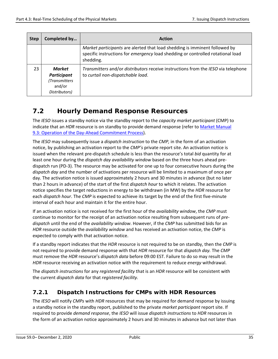| <b>Step</b> | Completed by                                                                    | <b>Action</b>                                                                                                                                                              |
|-------------|---------------------------------------------------------------------------------|----------------------------------------------------------------------------------------------------------------------------------------------------------------------------|
|             |                                                                                 | Market participants are alerted that load shedding is imminent followed by<br>specific instructions for emergency load shedding or controlled rotational load<br>shedding. |
| 23          | <b>Market</b><br><b>Participant</b><br>(Transmitters<br>and/or<br>Distributors) | Transmitters and/or distributors receive instructions from the IESO via telephone<br>to curtail non-dispatchable load.                                                     |

## <span id="page-41-0"></span>**7.2 Hourly Demand Response Resources**

The *IESO* issues a standby notice via the standby report to the *capacity market participant* (CMP) to indicate that an *HDR* resource is on standby to provide demand response (refer t[o Market Manual](http://www.ieso.ca/-/media/files/ieso/document-library/market-rules-and-manuals-library/market-manuals/day-ahead-commitment/operationdacp.pdf)  [9.3: Operation of the Day-Ahead Commitment Process\)](http://www.ieso.ca/-/media/files/ieso/document-library/market-rules-and-manuals-library/market-manuals/day-ahead-commitment/operationdacp.pdf).

The *IESO* may subsequently issue a *dispatch instruction* to the *CMP,* in the form of an activation notice, by publishing an activation report to the *CMP's* private report site. An activation notice is issued when the relevant pre-dispatch schedule is less than the resource's total *bid* quantity for at least one hour during the *dispatch day availability window* based on the three hours ahead predispatch run (PD-3). The resource may be activated for one up to four consecutive hours during the *dispatch day* and the number of activations per resource will be limited to a maximum of once per day. The activation notice is issued approximately 2 hours and 30 minutes in advance (but no later than 2 hours in advance) of the start of the first *dispatch hour* to which it relates. The activation notice specifies the target reductions in energy to be withdrawn (in MW) by the *HDR* resource for each *dispatch hour*. The *CMP* is expected to achieve its target by the end of the first five-minute interval of each hour and maintain it for the entire hour.

If an activation notice is not received for the first hour of the *availability window*, the *CMP* must continue to monitor for the receipt of an activation notice resulting from subsequent runs of *predispatch* until the end of the *availability window*. However, if the *CMP* has submitted bids for an *HDR* resource outside the *availability window* and has received an activation notice, the *CMP* is expected to comply with that activation notice.

If a standby report indicates that the *HDR* resource is not required to be on standby, then the *CMP* is not required to provide demand response with that *HDR* resource for that *dispatch day.* The *CMP* must remove the *HDR* resource's *dispatch data* before 09:00 EST. Failure to do so may result in the *HDR* resource receiving an activation notice with the requirement to reduce *energy* withdrawal.

The *dispatch instructions* for any *registered facility* that is an *HDR* resource will be consistent with the current *dispatch data* for that *registered facility.*

### <span id="page-41-1"></span>**7.2.1 Dispatch Instructions for CMPs with HDR Resources**

The *IESO* will notify *CMPs* with *HDR* resources that may be required for demand response by issuing a standby notice in the standby report, published to the private *market participant* report site. If required to provide *demand response*, the *IESO* will issue *dispatch instructions* to *HDR* resources in the form of an activation notice approximately 2 hours and 30 minutes in advance but not later than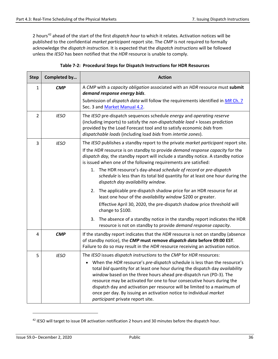2 hours[42](#page-42-1) ahead of the start of the first *dispatch hour* to which it relates*.* Activation notices will be published to the confidential *market participant* report site. The *CMP* is not required to formally acknowledge the *dispatch instruction*. It is expected that the *dispatch instructions* will be followed unless the *IESO* has been notified that the *HDR* resource is unable to comply.

<span id="page-42-0"></span>

| <b>Step</b>    | Completed by | <b>Action</b>                                                                                                                                                                                                                                                                                                                                                                                                                                                                                                 |
|----------------|--------------|---------------------------------------------------------------------------------------------------------------------------------------------------------------------------------------------------------------------------------------------------------------------------------------------------------------------------------------------------------------------------------------------------------------------------------------------------------------------------------------------------------------|
| $\mathbf{1}$   | <b>CMP</b>   | A CMP with a capacity obligation associated with an HDR resource must submit<br>demand response energy bids.                                                                                                                                                                                                                                                                                                                                                                                                  |
|                |              | Submission of <i>dispatch data</i> will follow the requirements identified in <i>MR Ch. 7</i><br>Sec. 3 and Market Manual 4.2.                                                                                                                                                                                                                                                                                                                                                                                |
| $\overline{2}$ | <b>IESO</b>  | The IESO pre-dispatch sequences schedule energy and operating reserve<br>(including imports) to satisfy the non-dispatchable load + losses prediction<br>provided by the Load Forecast tool and to satisfy economic bids from<br>dispatchable loads (including load bids from intertie zones).                                                                                                                                                                                                                |
| 3              | <b>IESO</b>  | The IESO publishes a standby report to the private market participant report site.                                                                                                                                                                                                                                                                                                                                                                                                                            |
|                |              | If the HDR resource is on standby to provide <i>demand response capacity</i> for the<br>dispatch day, the standby report will include a standby notice. A standby notice<br>is issued when one of the following requirements are satisfied:                                                                                                                                                                                                                                                                   |
|                |              | 1. The HDR resource's day-ahead schedule of record or pre-dispatch<br>schedule is less than its total bid quantity for at least one hour during the<br>dispatch day availability window.                                                                                                                                                                                                                                                                                                                      |
|                |              | The applicable pre-dispatch shadow price for an HDR resource for at<br>2.<br>least one hour of the availability window \$200 or greater.                                                                                                                                                                                                                                                                                                                                                                      |
|                |              | Effective April 30, 2020, the pre-dispatch shadow price threshold will<br>change to \$100.                                                                                                                                                                                                                                                                                                                                                                                                                    |
|                |              | The absence of a standby notice in the standby report indicates the HDR<br>3.<br>resource is not on standby to provide demand response capacity.                                                                                                                                                                                                                                                                                                                                                              |
| 4              | <b>CMP</b>   | If the standby report indicates that the HDR resource is not on standby (absence<br>of standby notice), the CMP must remove dispatch data before 09:00 EST.<br>Failure to do so may result in the HDR resource receiving an activation notice.                                                                                                                                                                                                                                                                |
| 5              | <b>IESO</b>  | The IESO issues dispatch instructions to the CMP for HDR resources:                                                                                                                                                                                                                                                                                                                                                                                                                                           |
|                |              | When the HDR resource's pre-dispatch schedule is less than the resource's<br>$\bullet$<br>total bid quantity for at least one hour during the dispatch day availability<br>window based on the three hours ahead pre-dispatch run (PD-3). The<br>resource may be activated for one to four consecutive hours during the<br>dispatch day and activation per resource will be limited to a maximum of<br>once per day. By issuing an activation notice to individual market<br>participant private report site. |

| Table 7-2: Procedural Steps for Dispatch Instructions for HDR Resources |  |
|-------------------------------------------------------------------------|--|
|-------------------------------------------------------------------------|--|

<span id="page-42-1"></span><sup>&</sup>lt;sup>42</sup> IESO will target to issue DR activation notification 2 hours and 30 minutes before the dispatch hour.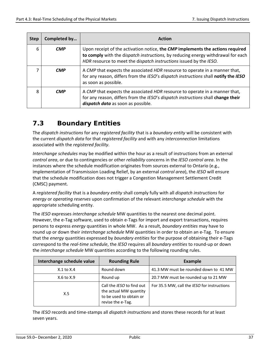| <b>Step</b> | Completed by | <b>Action</b>                                                                                                                                                                                                                            |
|-------------|--------------|------------------------------------------------------------------------------------------------------------------------------------------------------------------------------------------------------------------------------------------|
| 6           | <b>CMP</b>   | Upon receipt of the activation notice, the CMP implements the actions required<br>to comply with the dispatch instructions, by reducing energy withdrawal for each<br>HDR resource to meet the dispatch instructions issued by the IESO. |
|             | <b>CMP</b>   | A CMP that expects the associated HDR resource to operate in a manner that,<br>for any reason, differs from the IESO's dispatch instructions shall notify the IESO<br>as soon as possible.                                               |
| 8           | <b>CMP</b>   | A CMP that expects the associated HDR resource to operate in a manner that,<br>for any reason, differs from the IESO's dispatch instructions shall change their<br>dispatch data as soon as possible.                                    |

## <span id="page-43-0"></span>**7.3 Boundary Entities**

The *dispatch instructions* for any *registered facility* that is a *boundary entity* will be consistent with the current *dispatch data* for that *registered facility* and with any *interconnection* limitations associated with the *registered facility*.

*Interchange schedules* may be modified within the hour as a result of instructions from an external *control area*, or due to contingencies or other *reliability* concerns in the *IESO control area*. In the instances where the schedule modification originates from sources external to Ontario (e.g., implementation of Transmission Loading Relief, by an external *control area*), the *IESO* will ensure that the schedule modification does not trigger a Congestion Management Settlement Credit (CMSC) payment.

A *registered facility* that is a *boundary entity* shall comply fully with all *dispatch instructions* for *energy* or *operating reserves* upon confirmation of the relevant *interchange schedule* with the appropriate scheduling entity.

The *IESO* expresses *interchange schedule* MW quantities to the nearest one decimal point. However, the e-Tag software, used to obtain e-Tags for import and export transactions, requires persons to express *energy* quantities in whole MW. As a result, *boundary entities* may have to round up or down their *interchange schedule* MW quantities in order to obtain an e-Tag. To ensure that the *energy* quantities expressed by *boundary entities* for the purpose of obtaining their e-Tags correspond to the *real-time schedule*, the *IESO* requires all *boundary entities* to round-up or down the *interchange schedule* MW quantities according to the following rounding rules.

| Interchange schedule value | <b>Rounding Rule</b>                                                                                | Example                                     |
|----------------------------|-----------------------------------------------------------------------------------------------------|---------------------------------------------|
| $X.1$ to $X.4$             | Round down                                                                                          | 41.3 MW must be rounded down to 41 MW       |
| $X.6$ to $X.9$             | Round up                                                                                            | 20.7 MW must be rounded up to 21 MW         |
| X.5                        | Call the IESO to find out<br>the actual MW quantity<br>to be used to obtain or<br>revise the e-Tag. | For 35.5 MW, call the IESO for instructions |

The *IESO* records and time-stamps all *dispatch instructions* and stores these records for at least seven years.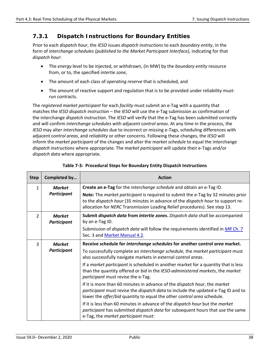### <span id="page-44-0"></span>**7.3.1 Dispatch Instructions for Boundary Entities**

Prior to each *dispatch hour*, the *IESO* issues *dispatch instructions* to each *boundary entity*, in the form of *interchange schedules (published to the Market Participant Interface)*, indicating for that *dispatch hour*:

- The *energy* level to be injected, or withdrawn, (in MW) by the *boundary entity* resource from, or to, the specified *intertie zone*,
- The amount of each class of *operating reserve* that is scheduled, and
- The amount of reactive support and regulation that is to be provided under reliability mustrun contracts.

The *registered market participant* for each *facility* must submit an e-Tag with a quantity that matches the *IESO dispatch instruction* – the *IESO* will use the e-Tag submission as confirmation of the interchange *dispatch instruction*. The *IESO* will verify that the e-Tag has been submitted correctly and will confirm *interchange schedules* with adjacent c*ontrol areas*. At any time in the process, the *IESO* may alter *interchange schedules* due to incorrect or missing e-Tags, scheduling differences with adjacent c*ontrol areas*, and *reliability* or other concerns. Following these changes, the *IESO* will inform the *market participant* of the changes and alter the m*arket schedule* to equal the interchange *dispatch instructions* where appropriate. The *market participant* will update their e-Tags and/or *dispatch data* where appropriate.

<span id="page-44-1"></span>

| <b>Step</b>   | Completed by                        | <b>Action</b>                                                                                                                                                                                                                                                                                                                                                                                                                                                                                                                                                                                                                                                                                                                                                                                                                                                                                                                      |
|---------------|-------------------------------------|------------------------------------------------------------------------------------------------------------------------------------------------------------------------------------------------------------------------------------------------------------------------------------------------------------------------------------------------------------------------------------------------------------------------------------------------------------------------------------------------------------------------------------------------------------------------------------------------------------------------------------------------------------------------------------------------------------------------------------------------------------------------------------------------------------------------------------------------------------------------------------------------------------------------------------|
| 1             | <b>Market</b><br><b>Participant</b> | Create an e-Tag for the interchange schedule and obtain an e-Tag ID.<br>Note: The market participant is required to submit the e-Tag by 32 minutes prior<br>to the <i>dispatch hour</i> (35 minutes in advance of the <i>dispatch hour</i> to support re-<br>allocation for NERC Transmission Loading Relief procedures). See step 13.                                                                                                                                                                                                                                                                                                                                                                                                                                                                                                                                                                                             |
| $\mathcal{P}$ | <b>Market</b><br><b>Participant</b> | Submit dispatch data from intertie zones. Dispatch data shall be accompanied<br>by an e-Tag ID.<br>Submission of <i>dispatch data</i> will follow the requirements identified in <i>MR Ch. 7</i><br>Sec. 3 and Market Manual 4.2.                                                                                                                                                                                                                                                                                                                                                                                                                                                                                                                                                                                                                                                                                                  |
| 3             | <b>Market</b><br><b>Participant</b> | Receive schedule for interchange schedules for another control area market.<br>To successfully complete an interchange schedule, the market participant must<br>also successfully navigate markets in external control areas.<br>If a <i>market participant</i> is scheduled in another market for a quantity that is less<br>than the quantity offered or bid in the IESO-administered markets, the market<br>participant must revise the e-Tag.<br>If it is more than 60 minutes in advance of the <i>dispatch hour</i> , the market<br>participant must revise the dispatch data to include the updated e-Tag ID and to<br>lower the <i>offer/bid</i> quantity to equal the other control area schedule.<br>If it is less than 60 minutes in advance of the <i>dispatch hour</i> but the <i>market</i><br>participant has submitted dispatch data for subsequent hours that use the same<br>e-Tag, the market participant must: |

**Table 7-3: Procedural Steps for Boundary Entity Dispatch Instructions**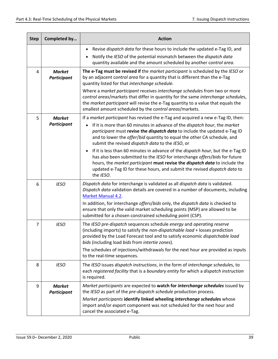| <b>Step</b>    | Completed by                        | <b>Action</b>                                                                                                                                                                                                                                                                                                                                      |
|----------------|-------------------------------------|----------------------------------------------------------------------------------------------------------------------------------------------------------------------------------------------------------------------------------------------------------------------------------------------------------------------------------------------------|
|                |                                     | Revise dispatch data for these hours to include the updated e-Tag ID, and                                                                                                                                                                                                                                                                          |
|                |                                     | Notify the IESO of the potential mismatch between the dispatch data<br>quantity available and the amount scheduled by another control area.                                                                                                                                                                                                        |
| 4              | <b>Market</b><br><b>Participant</b> | The e-Tag must be revised if the market participant is scheduled by the IESO or<br>by an adjacent control area for a quantity that is different than the e-Tag<br>quantity listed for that interchange schedule.                                                                                                                                   |
|                |                                     | Where a market participant receives interchange schedules from two or more<br>control areas/markets that differ in quantity for the same interchange schedules,<br>the market participant will revise the e-Tag quantity to a value that equals the<br>smallest amount scheduled by the control areas/markets.                                     |
| 5              | <b>Market</b>                       | If a market participant has revised the e-Tag and acquired a new e-Tag ID, then:                                                                                                                                                                                                                                                                   |
|                | <b>Participant</b>                  | If it is more than 60 minutes in advance of the dispatch hour, the market<br>participant must revise the dispatch data to include the updated e-Tag ID<br>and to lower the offer/bid quantity to equal the other CA schedule, and<br>submit the revised dispatch data to the IESO, or                                                              |
|                |                                     | If it is less than 60 minutes in advance of the dispatch hour, but the e-Tag ID<br>$\bullet$<br>has also been submitted to the IESO for interchange offers/bids for future<br>hours, the market participant must revise the dispatch data to include the<br>updated e-Tag ID for these hours, and submit the revised dispatch data to<br>the IESO. |
| 6              | <b>IESO</b>                         | Dispatch data for interchange is validated as all dispatch data is validated.<br>Dispatch data validation details are covered in a number of documents, including<br><b>Market Manual 4.2.</b>                                                                                                                                                     |
|                |                                     | In addition, for interchange offers/bids only, the dispatch data is checked to<br>ensure that only the valid market scheduling points (MSP) are allowed to be<br>submitted for a chosen constrained scheduling point (CSP).                                                                                                                        |
| $\overline{7}$ | <b>IESO</b>                         | The IESO pre-dispatch sequences schedule energy and operating reserve<br>(including imports) to satisfy the non-dispatchable load + losses prediction<br>provided by the Load Forecast tool and to satisfy economic dispatchable load<br>bids (including load bids from intertie zones).                                                           |
|                |                                     | The schedules of injections/withdrawals for the next hour are provided as inputs<br>to the real-time sequences.                                                                                                                                                                                                                                    |
| 8              | <b>IESO</b>                         | The IESO issues dispatch instructions, in the form of interchange schedules, to<br>each registered facility that is a boundary entity for which a dispatch instruction<br>is required.                                                                                                                                                             |
| 9              | <b>Market</b><br><b>Participant</b> | Market participants are expected to watch for interchange schedules issued by<br>the IESO as part of the pre-dispatch schedule production process.                                                                                                                                                                                                 |
|                |                                     | Market participants identify linked wheeling interchange schedules whose<br>import and/or export component was not scheduled for the next hour and<br>cancel the associated e-Tag.                                                                                                                                                                 |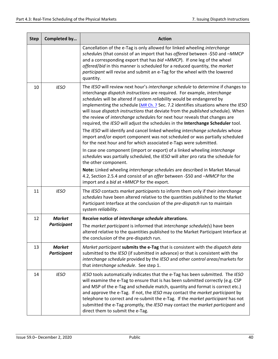| <b>Step</b> | Completed by                        | <b>Action</b>                                                                                                                                                                                                                                                                                                                                                                                                                                                                                                                                                                                                                                                                                                                                                                                                                                                                                                                                                                                                                                                                                                                                                              |
|-------------|-------------------------------------|----------------------------------------------------------------------------------------------------------------------------------------------------------------------------------------------------------------------------------------------------------------------------------------------------------------------------------------------------------------------------------------------------------------------------------------------------------------------------------------------------------------------------------------------------------------------------------------------------------------------------------------------------------------------------------------------------------------------------------------------------------------------------------------------------------------------------------------------------------------------------------------------------------------------------------------------------------------------------------------------------------------------------------------------------------------------------------------------------------------------------------------------------------------------------|
|             |                                     | Cancellation of the e-Tag is only allowed for linked wheeling interchange<br>schedules (that consist of an import that has offered between -\$50 and -MMCP<br>and a corresponding export that has bid +MMCP). If one leg of the wheel<br>offered/bid in this manner is scheduled for a reduced quantity, the market<br>participant will revise and submit an e-Tag for the wheel with the lowered<br>quantity.                                                                                                                                                                                                                                                                                                                                                                                                                                                                                                                                                                                                                                                                                                                                                             |
| 10          | <b>IESO</b>                         | The IESO will review next hour's interchange schedule to determine if changes to<br>interchange dispatch instructions are required. For example, interchange<br>schedules will be altered if system reliability would be endangered by<br>implementing the schedule (MR Ch. 7 Sec. 7.2 identifies situations where the IESO<br>will issue dispatch instructions that deviate from the published schedule). When<br>the review of interchange schedules for next hour reveals that changes are<br>required, the IESO will adjust the schedules in the Interchange Scheduler tool.<br>The IESO will identify and cancel linked wheeling interchange schedules whose<br>import and/or export component was not scheduled or was partially scheduled<br>for the next hour and for which associated e-Tags were submitted.<br>In case one component (import or export) of a linked wheeling interchange<br>schedules was partially scheduled, the IESO will alter pro rata the schedule for<br>the other component.<br>Note: Linked wheeling interchange schedules are described in Market Manual<br>4.2, Section 2.5.4 and consist of an offer between -\$50 and -MMCP for the |
| 11          | <b>IESO</b>                         | import and a bid at +MMCP for the export.<br>The IESO contacts market participants to inform them only if their interchange<br>schedules have been altered relative to the quantities published to the Market<br>Participant Interface at the conclusion of the pre-dispatch run to maintain<br>system reliability.                                                                                                                                                                                                                                                                                                                                                                                                                                                                                                                                                                                                                                                                                                                                                                                                                                                        |
| 12          | <b>Market</b>                       | Receive notice of interchange schedule alterations.                                                                                                                                                                                                                                                                                                                                                                                                                                                                                                                                                                                                                                                                                                                                                                                                                                                                                                                                                                                                                                                                                                                        |
|             | <b>Participant</b>                  | The market participant is informed that interchange schedule(s) have been<br>altered relative to the quantities published to the Market Participant Interface at<br>the conclusion of the pre-dispatch run.                                                                                                                                                                                                                                                                                                                                                                                                                                                                                                                                                                                                                                                                                                                                                                                                                                                                                                                                                                |
| 13          | <b>Market</b><br><b>Participant</b> | Market participant submits the e-Tag that is consistent with the dispatch data<br>submitted to the IESO (if submitted in advance) or that is consistent with the<br>interchange schedule provided by the IESO and other control areas/markets for<br>that interchange schedule. See step 1.                                                                                                                                                                                                                                                                                                                                                                                                                                                                                                                                                                                                                                                                                                                                                                                                                                                                                |
| 14          | <b>IESO</b>                         | IESO tools automatically indicates that the e-Tag has been submitted. The IESO<br>will examine the e-Tag to ensure that is has been submitted correctly (e.g. CSP<br>and MSP of the e-Tag and schedule match, quantity and format is correct etc.)<br>and approve the e-Tag. If not, the IESO may contact the market participant by<br>telephone to correct and re-submit the e-Tag. If the market participant has not<br>submitted the e-Tag promptly, the IESO may contact the market participant and<br>direct them to submit the e-Tag.                                                                                                                                                                                                                                                                                                                                                                                                                                                                                                                                                                                                                                |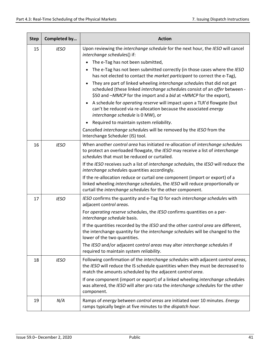| <b>Step</b> | Completed by | <b>Action</b>                                                                                                                                                                                                                   |
|-------------|--------------|---------------------------------------------------------------------------------------------------------------------------------------------------------------------------------------------------------------------------------|
| 15          | <b>IESO</b>  | Upon reviewing the interchange schedule for the next hour, the IESO will cancel<br>interchange schedules() if:                                                                                                                  |
|             |              | The e-Tag has not been submitted,                                                                                                                                                                                               |
|             |              | The e-Tag has not been submitted correctly (in those cases where the IESO<br>has not elected to contact the market participant to correct the e-Tag),                                                                           |
|             |              | They are part of linked wheeling interchange schedules that did not get<br>scheduled (these linked interchange schedules consist of an offer between -<br>\$50 and -MMCP for the import and a bid at +MMCP for the export),     |
|             |              | A schedule for operating reserve will impact upon a TLR'd flowgate (but<br>can't be reduced via re-allocation because the associated energy<br>interchange schedule is 0 MW), or                                                |
|             |              | Required to maintain system reliability.                                                                                                                                                                                        |
|             |              | Cancelled interchange schedules will be removed by the IESO from the<br>Interchange Scheduler (IS) tool.                                                                                                                        |
| 16          | <b>IESO</b>  | When another control area has initiated re-allocation of interchange schedules<br>to protect an overloaded flowgate, the IESO may receive a list of interchange<br>schedules that must be reduced or curtailed.                 |
|             |              | If the IESO receives such a list of interchange schedules, the IESO will reduce the<br>interchange schedules quantities accordingly.                                                                                            |
|             |              | If the re-allocation reduce or curtail one component (import or export) of a<br>linked wheeling interchange schedules, the IESO will reduce proportionally or<br>curtail the interchange schedules for the other component.     |
| 17          | <b>IESO</b>  | IESO confirms the quantity and e-Tag ID for each interchange schedules with<br>adjacent control areas.                                                                                                                          |
|             |              | For operating reserve schedules, the IESO confirms quantities on a per-<br>interchange schedule basis.                                                                                                                          |
|             |              | If the quantities recorded by the IESO and the other control area are different,<br>the interchange quantity for the interchange schedules will be changed to the<br>lower of the two quantities.                               |
|             |              | The IESO and/or adjacent control areas may alter interchange schedules if<br>required to maintain system reliability.                                                                                                           |
| 18          | <b>IESO</b>  | Following confirmation of the interchange schedules with adjacent control areas,<br>the IESO will reduce the IS schedule quantities when they must be decreased to<br>match the amounts scheduled by the adjacent control area. |
|             |              | If one component (import or export) of a linked wheeling interchange schedules<br>was altered, the IESO will alter pro rata the interchange schedules for the other<br>component.                                               |
| 19          | N/A          | Ramps of energy between control areas are initiated over 10 minutes. Energy<br>ramps typically begin at five minutes to the dispatch hour.                                                                                      |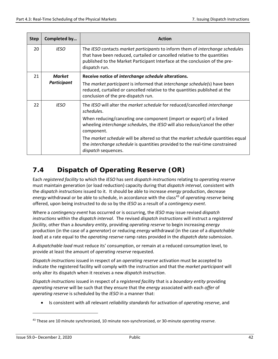| <b>Step</b> | Completed by                 | <b>Action</b>                                                                                                                                                                                                                                              |
|-------------|------------------------------|------------------------------------------------------------------------------------------------------------------------------------------------------------------------------------------------------------------------------------------------------------|
| 20          | <b>IESO</b>                  | The IESO contacts market participants to inform them of interchange schedules<br>that have been reduced, curtailed or cancelled relative to the quantities<br>published to the Market Participant Interface at the conclusion of the pre-<br>dispatch run. |
| 21          | <b>Market</b><br>Participant | Receive notice of interchange schedule alterations.                                                                                                                                                                                                        |
|             |                              | The market participant is informed that interchange schedule(s) have been<br>reduced, curtailed or cancelled relative to the quantities published at the<br>conclusion of the pre-dispatch run.                                                            |
| 22          | <b>IESO</b>                  | The IESO will alter the market schedule for reduced/cancelled interchange<br>schedules.                                                                                                                                                                    |
|             |                              | When reducing/canceling one component (import or export) of a linked<br>wheeling interchange schedules, the IESO will also reduce/cancel the other<br>component.                                                                                           |
|             |                              | The <i>market schedule</i> will be altered so that the <i>market schedule</i> quantities equal<br>the interchange schedule is quantities provided to the real-time constrained<br>dispatch sequences.                                                      |

## <span id="page-48-0"></span>**7.4 Dispatch of Operating Reserve (OR)**

Each *registered facility* to which the *IESO* has sent *dispatch instructions* relating to *operating reserve* must maintain generation (or load reduction) capacity during that *dispatch interval*, consistent with the *dispatch instructions* issued to it. It should be able to increase *energy* production, decrease *energy* withdrawal or be able to schedule, in accordance with the class<sup>[43](#page-48-1)</sup> of *operating reserve* being offered, upon being instructed to do so by the *IESO* as a result of a *contingency event*.

Where a *contingency event* has occurred or is occurring, the *IESO* may issue revised *dispatch instructions* within the *dispatch interval*. The revised *dispatch instructions* will instruct a *registered facility*, other than a *boundary entity*, providing *operating reserve* to begin increasing *energy* production (in the case of a *generator*) or reducing *energy* withdrawal (in the case of a *dispatchable load*) at a rate equal to the *operating reserve* ramp rates provided in the *dispatch data* submission.

A *dispatchable load* must reduce its' consumption, or remain at a reduced consumption level, to provide at least the amount of *operating reserve* requested.

*Dispatch instructions* issued in respect of an *operating reserve* activation must be accepted to indicate the registered facility will comply with the instruction and that the *market participant* will only alter its dispatch when it receives a new *dispatch instruction*.

*Dispatch instructions* issued in respect of a *registered facility* that is a *boundary entity* providing *operating reserve* will be such that they ensure that the *energy* associated with each *offer* of *operating reserve* is scheduled by the *IESO* in a manner that:

• Is consistent with all relevant *reliability standards* for activation of *operating reserve*, and

<span id="page-48-1"></span><sup>43</sup> These are 10 minute synchronized, 10 minute non-synchronized, or 30-minute *operating reserve*.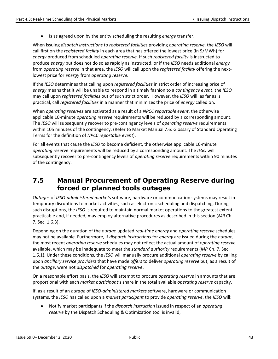• Is as agreed upon by the entity scheduling the resulting *energy* transfer.

When issuing *dispatch instructions* to *registered facilities* providing *operating reserve*, the *IESO* will call first on the *registered facility* in each area that has offered the lowest price (in \$/MWh) for *energy* produced from scheduled *operating reserve*. If such *registered facility* is instructed to produce *energy* but does not do so as rapidly as instructed, or if the *IESO* needs additional *energy* from *operating reserve* in that area, the *IESO* will call upon the *registered facility* offering the nextlowest price for *energy* from *operating reserve*.

If the *IESO* determines that calling upon *registered facilities* in strict order of increasing price of *energy* means that it will be unable to respond in a timely fashion to a *contingency event*, the *IESO* may call upon *registered facilities* out of such strict order. However, the *IESO* will, as far as is practical, call *registered facilities* in a manner that minimizes the price of *energy* called on.

When *operating reserves* are activated as a result of a *NPCC reportable event*, the otherwise applicable 10-minute *operating reserve* requirements will be reduced by a corresponding amount. The *IESO* will subsequently recover to pre-contingency levels of *operating reserve* requirements within 105 minutes of the contingency. (Refer to Market Manual 7.6: Glossary of Standard Operating Terms for the definition of *NPCC reportable event*).

For all events that cause the *IESO* to become deficient, the otherwise applicable 10-minute *operating reserve* requirements will be reduced by a corresponding amount. The *IESO* will subsequently recover to pre-contingency levels of *operating reserve* requirements within 90 minutes of the contingency.

## <span id="page-49-0"></span>**7.5 Manual Procurement of Operating Reserve during forced or planned tools outages**

*Outages* of *IESO-administered markets* software, hardware or communication systems may result in temporary disruptions to market activities, such as electronic scheduling and dispatching. During such disruptions, the *IESO* is required to maintain normal market operations to the greatest extent practicable and, if needed, may employ alternative procedures as described in this section (*MR* Ch. 7, Sec. 1.6.3).

Depending on the duration of the *outage* updated *real-time energy* and *operating reserve* schedules may not be available. Furthermore, if *dispatch instructions* for *energy* are issued during the *outage*, the most recent *operating reserve* schedules may not reflect the actual amount of *operating reserve* available, which may be inadequate to meet the *standard authority* requirements (*MR* Ch. 7, Sec. 1.6.1). Under these conditions, the *IESO* will manually procure additional *operating reserve* by calling upon *ancillary service providers* that have made *offers* to deliver *operating reserve* but, as a result of the *outage*, were not *dispatched* for *operating reserve*.

On a reasonable effort basis, the *IESO* will attempt to procure *operating reserve* in amounts that are proportional with each *market participant*'s share in the total available *operating reserve* capacity.

If, as a result of an *outage* of *IESO-administered markets* software, hardware or communication systems, the *IESO* has called upon a *market participant* to provide *operating reserve*, the *IESO* will:

• Notify market participants if the *dispatch instruction* issued in respect of an *operating reserve* by the Dispatch Scheduling & Optimization tool is invalid,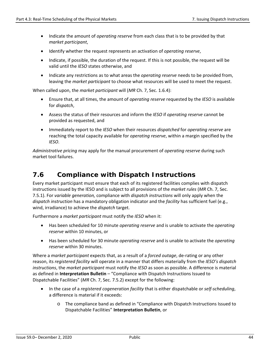- Indicate the amount of *operating reserve* from each class that is to be provided by that *market participant*,
- Identify whether the request represents an activation of *operating reserve*,
- Indicate, if possible, the duration of the request. If this is not possible, the request will be valid until the *IESO* states otherwise, and
- Indicate any restrictions as to what areas the *operating reserve* needs to be provided from, leaving the *market participant* to choose what resources will be used to meet the request.

When called upon, the *market participant* will (*MR* Ch. 7, Sec. 1.6.4):

- Ensure that, at all times, the amount of *operating reserve* requested by the *IESO* is available for *dispatch*,
- Assess the status of their resources and inform the *IESO* if *operating reserve* cannot be provided as requested, and
- Immediately report to the *IESO* when their resources *dispatched* for *operating reserve* are reaching the total capacity available for *operating reserve*, within a margin specified by the *IESO*.

*Administrative pricing* may apply for the manual procurement of *operating reserve* during such market tool failures.

### <span id="page-50-0"></span>**7.6 Compliance with Dispatch Instructions**

Every market participant must ensure that each of its registered facilities complies with dispatch instructions issued by the IESO and is subject to all provisions of the *market rules* (*MR* Ch. 7, Sec. 7.5.1). For *variable generation,* compliance with *dispatch instructions* will only apply when the *dispatch instruction* has a mandatory obligation indicator and the *facility* has sufficient fuel (e.g., wind, irradiance) to achieve the *dispatch* target.

Furthermore a *market participant* must notify the *IESO* when it:

- Has been scheduled for 10 minute *operating reserve* and is unable to activate the *operating reserve* within 10 minutes, or
- Has been scheduled for 30 minute *operating reserve* and is unable to activate the *operating reserve* within 30 minutes.

Where a *market participant* expects that, as a result of a *forced outage*, de-rating or any other reason, its *registered facility* will operate in a manner that differs materially from the *IESO's dispatch instructions*, the *market participant* must notify the *IESO* as soon as possible. A difference is material as defined in **Interpretation Bulletin** – "Compliance with Dispatch Instructions Issued to Dispatchable Facilities" (*MR* Ch. 7, Sec. 7.5.2) except for the following:

- In the case of a *registered cogeneration facility* that is either dispatchable or *self-scheduling*, a difference is material if it exceeds:
	- o The compliance band as defined in "Compliance with Dispatch Instructions Issued to Dispatchable Facilities" **Interpretation Bulletin**, or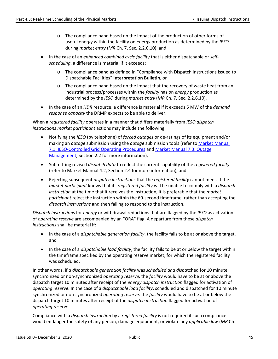- o The compliance band based on the impact of the production of other forms of useful energy within the facility on *energy* production as determined by the *IESO* during *market entry* (*MR* Ch. 7, Sec. 2.2.6.10), and
- In the case of an *enhanced combined cycle facility* that is either dispatchable or *selfscheduling*, a difference is material if it exceeds:
	- o The compliance band as defined in "Compliance with Dispatch Instructions Issued to Dispatchable Facilities" **Interpretation Bulletin**, or
	- o The compliance band based on the impact that the recovery of waste heat from an industrial process/processes within the *facility* has on *energy* production as determined by the *IESO* during *market entry* (*MR* Ch. 7, Sec. 2.2.6.10).
- In the case of an *HDR* resource, a difference is material if it exceeds 5 MW of the *demand response capacity* the DRMP expects to be able to deliver.

When a *registered facility* operates in a manner that differs materially from *IESO dispatch instructions market participant* actions may include the following:

- Notifying the *IESO* (by telephone) of *forced outages* or de-ratings of its equipment and/or making an *outage* submission using the *outage* submission tools (refer to [Market Manual](http://www.ieso.ca/-/media/files/ieso/document-library/market-rules-and-manuals-library/market-manuals/system-operations/so-systemsoperations.pdf)  [7.1: IESO-Controlled Grid Operating Procedures](http://www.ieso.ca/-/media/files/ieso/document-library/market-rules-and-manuals-library/market-manuals/system-operations/so-systemsoperations.pdf) and [Market Manual 7.3: Outage](http://www.ieso.ca/-/media/files/ieso/document-library/market-rules-and-manuals-library/market-manuals/system-operations/so-outagemanagement.pdf)  [Management,](http://www.ieso.ca/-/media/files/ieso/document-library/market-rules-and-manuals-library/market-manuals/system-operations/so-outagemanagement.pdf) Section 2.2 for more information),
- Submitting revised *dispatch data* to reflect the current capability of the *registered facility* (refer to Market Manual 4.2, Section 2.4 for more information), and
- Rejecting subsequent *dispatch instructions* that the *registered facility* cannot meet. If the *market participant* knows that its *registered facility* will be unable to comply with a *dispatch instruction* at the time that it receives the instruction, it is preferable that the *market participant* reject the instruction within the 60-second timeframe, rather than accepting the *dispatch instructions* and then failing to respond to the instruction.

*Dispatch instructions* for *energy* or withdrawal reductions that are flagged by the *IESO* as activation of *operating reserve* are accompanied by an "ORA" flag. A departure from these *dispatch instructions* shall be material if:

- In the case of a *dispatchable generation facility*, the facility fails to be at or above the target, and
- In the case of a *dispatchable load facility*, the facility fails to be at or below the target within the timeframe specified by the operating reserve market, for which the registered facility was scheduled.

In other words, if *a dispatchable generation facility* was *scheduled and dispa*tched for 10 minute synchronized or non-synchronized *operating reserve,* the *facility* would have to be at or above the dispatch target 10 minutes after receipt of the *energy dispatch instruction* flagged for activation of *operating reserve*. In the case of a *dispatchable load facility*, scheduled and dispatched for 10 minute synchronized or non-synchronized *operating reserve,* the *facility* would have to be at or below the dispatch target 10 minutes after receipt of the *dispatch instruction* flagged for activation of *operating reserve*.

Compliance with a *dispatch instruction* by a *registered facility* is not required if such compliance would endanger the safety of any person, damage equipment, or violate any *applicable law* (*MR* Ch.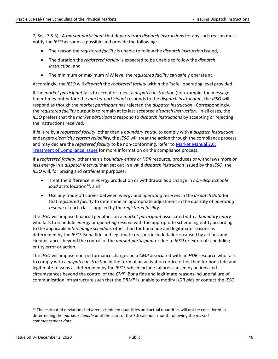7, Sec. 7.5.3). A *market participant* that departs from *dispatch instructions* for any such reason must notify the *IESO* as soon as possible and provide the following:

- The reason the *registered facility* is unable to follow the *dispatch instruction* issued,
- The duration the *registered facility* is expected to be unable to follow the *dispatch instruction*, and
- The minimum or maximum MW level the *registered facility* can safely operate at.

Accordingly, the *IESO* will *dispatch* the *registered facility* within the "safe" operating level provided.

If the *market participant* fails to accept or reject a *dispatch instruction* (for example, the message timer times-out before the *market participant* responds to the *dispatch instruction*), the *IESO* will respond as though the *market participant* has rejected the *dispatch instruction*. Correspondingly, the *registered facility* output is to remain at its last accepted *dispatch instruction*. In all cases, the *IESO* prefers that the *market participants* respond to *dispatch instructions* by accepting or rejecting the instructions received.

If failure by a *registered facility*, other than a *boundary entity*, to comply with a *dispatch instruction* endangers *electricity system reliability*, the *IESO* will treat the action through the compliance process and may declare the *registered facility* to be non-conforming. Refer to [Market Manual 2.6:](http://www.ieso.ca/-/media/files/ieso/document-library/market-rules-and-manuals-library/market-manuals/market-administration/ma-compissues.pdf)  [Treatment of Compliance Issues](http://www.ieso.ca/-/media/files/ieso/document-library/market-rules-and-manuals-library/market-manuals/market-administration/ma-compissues.pdf) for more information on the compliance process.

If a *registered facility*, other than a *boundary entity or HDR* resource*,* produces or withdraws more or less *energy* in a *dispatch interval* than set out in a valid *dispatch instruction* issued by the *IESO*, the *IESO* will, for pricing and *settlement* purposes:

- Treat the difference in *energy* production or withdrawal as a change in *non-dispatchable load* at its location<sup>[44](#page-52-0)</sup>, and
- Use any trade-off curves between *energy* and *operating reserves* in the *dispatch data* for that *registered facility* to determine an appropriate adjustment in the quantity of *operating reserve* of each class supplied by the *registered facility*.

The *IESO* will impose financial penalties on a *market participant* associated with a *boundary entity* who fails to schedule *energy* or *operating reserve* with the appropriate scheduling entity according to the applicable *interchange schedule*, other than for bona fide and legitimate reasons as determined by the *IESO.* Bona fide and legitimate reasons include failures caused by actions and circumstances beyond the control of the *market participant* or due to *IESO* or external scheduling entity error or action.

The *IESO* will impose non-performance charges on a *CMP* associated with an *HDR* resource who fails to comply with a *dispatch instruction* in the form of an activation notice other than for bona fide and legitimate reasons as determined by the *IESO,* which include failures caused by actions and circumstances beyond the control of the *CMP*. Bona fide and legitimate reasons include failure of communication infrastructure such that the *DRMP* is unable to modify *HDR bids* or contact the *IESO*.

<span id="page-52-0"></span><sup>&</sup>lt;sup>44</sup> The estimated deviations between scheduled quantities and actual quantities will not be considered in determining the *market schedule* until the start of the 7th calendar month following the *market commencement date*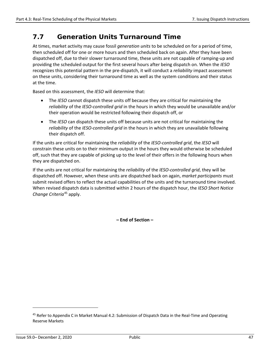## <span id="page-53-0"></span>**7.7 Generation Units Turnaround Time**

At times, market activity may cause fossil *generation units* to be scheduled on for a period of time, then scheduled off for one or more hours and then scheduled back on again. After they have been dispatched off, due to their slower turnaround time, these units are not capable of ramping-up and providing the scheduled output for the first several hours after being dispatch on. When the *IESO* recognizes this potential pattern in the pre-dispatch, it will conduct a *reliability* impact assessment on these units, considering their turnaround time as well as the system conditions and their status at the time.

Based on this assessment, the *IESO* will determine that:

- The *IESO* cannot dispatch these units off because they are critical for maintaining the *reliability* of the *IESO-controlled grid* in the hours in which they would be unavailable and/or their operation would be restricted following their dispatch off, or
- The *IESO* can dispatch these units off because units are not critical for maintaining the *reliability* of the *IESO-controlled grid* in the hours in which they are unavailable following their dispatch off.

If the units are critical for maintaining the *reliability* of the *IESO-controlled grid*, the *IESO* will constrain these units on to their minimum output in the hours they would otherwise be scheduled off, such that they are capable of picking up to the level of their offers in the following hours when they are dispatched on.

If the units are not critical for maintaining the *reliability* of the *IESO-controlled grid*, they will be dispatched off. However, when these units are dispatched back on again, *market participants* must submit revised offers to reflect the actual capabilities of the units and the turnaround time involved. When revised dispatch data is submitted within 2 hours of the dispatch hour, the *IESO Short Notice Change Criteria*[45](#page-53-1) apply.

**– End of Section –** 

<span id="page-53-1"></span><sup>&</sup>lt;sup>45</sup> Refer to Appendix C in Market Manual 4.2: Submission of Dispatch Data in the Real-Time and Operating Reserve Markets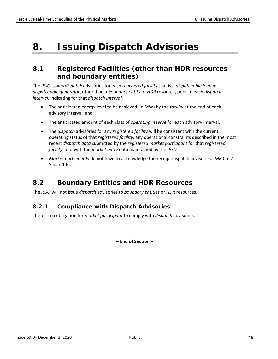## <span id="page-54-0"></span>**8. Issuing Dispatch Advisories**

### <span id="page-54-1"></span>**8.1 Registered Facilities (other than HDR resources and boundary entities)**

The *IESO* issues *dispatch* advisories for each *registered facility* that is a *dispatchable load* or *dispatchable generator*, other than a *boundary entity* or *HDR* resource, prior to each *dispatch interval*, indicating for that *dispatch interval*:

- The anticipated *energy* level to be achieved (in MW) by the *facility* at the end of each advisory interval, and
- The anticipated amount of each class of *operating reserve* for each advisory interval.
- The *dispatch* advisories for any *registered facility* will be consistent with the current operating status of that *registered facility*, any operational constraints described in the most recent *dispatch data* submitted by the *registered market participant* for that *registered facility*, and with the *market entry* data maintained by the *IESO*.
- *Market participants* do not have to acknowledge the receipt dispatch advisories. (*MR* Ch. 7 Sec. 7.1.6).

### <span id="page-54-2"></span>**8.2 Boundary Entities and HDR Resources**

The *IESO* will not issue *dispatch* advisories to *boundary entities* or *HDR* resources.

#### <span id="page-54-3"></span>**8.2.1 Compliance with Dispatch Advisories**

There is no obligation for *market participant* to comply with *dispatch* advisories.

**– End of Section –**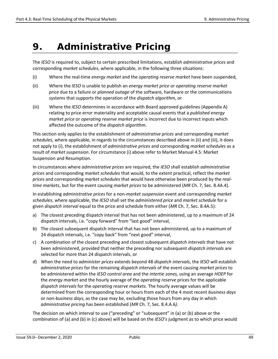## <span id="page-55-0"></span>**9. Administrative Pricing**

The *IESO* is required to, subject to certain prescribed limitations, establish *administrative prices* and corresponding *market schedules*, where applicable, in the following three situations:

- (i) Where the real-time *energy market* and the *operating reserve market* have been suspended,
- (ii) Where the *IESO* is unable to publish an *energy market price* or *operating reserve market price* due to a failure or *planned outage* of the software, hardware or the communications systems that supports the operation of the *dispatch algorithm*, or
- (iii) Where the *IESO* determines in accordance with Board approved guidelines (Appendix A) relating to price error materiality and acceptable causal events that a *published energy market price* or *operating reserve market price* is incorrect due to incorrect inputs which affected the outcome of the *dispatch algorithm*.

This section only applies to the establishment of *administrative prices* and corresponding *market schedules*, where applicable, in regards to the circumstances described above in (ii) and (iii), it does not apply to (i), the establishment of *administrative prices* and corresponding *market schedules* as a result of *market suspension*. For circumstance (i) above refer to Market Manual 4.5: Market Suspension and Resumption.

In circumstances where *administrative prices* are required, the *IESO* shall establish *administrative prices* and corresponding *market schedules* that would, to the extent practical, reflect the *market prices* and corresponding *market schedules* that would have otherwise been produced by the *realtime markets*, but for the event causing *market prices* to be administered (*MR* Ch. 7, Sec. 8.4A.4).

In establishing *administrative prices* for a non-*market suspension* event and corresponding *market schedules*, where applicable, the *IESO* shall set the *administered price* and *market schedule* for a given *dispatch interval* equal to the price and schedule from either (*MR* Ch. 7, Sec. 8.4A.5):

- a) The closest preceding dispatch interval that has not been administered, up to a maximum of 24 dispatch intervals, i.e. "copy forward" from "last good" interval,
- b) The closest subsequent dispatch interval that has not been administered, up to a maximum of 24 dispatch intervals, i.e. "copy back" from "next good" interval,
- c) A combination of the closest preceding and closest subsequent *dispatch intervals* that have not been administered, provided that neither the preceding nor subsequent *dispatch intervals* are selected for more than 24 dispatch intervals, or
- d) When the need to *administer prices* extends beyond 48 *dispatch intervals*, the *IESO* will establish *administrative prices* for the remaining *dispatch intervals* of the event causing *market prices* to be administered within the *IESO control area* and the *intertie zones,* using an average *HOEP* for the *energy market* and the hourly average of the *operating reserve* prices for the applicable *dispatch intervals* for the *operating reserve markets.* The hourly average values will be determined from the corresponding hour or hours from each of the 4 most recent *business days*  or non-*business days*, as the case may be, excluding those hours from any day in which *administrative pricing* has been established (*MR* Ch. 7, Sec. 8.4.A.6*)*.

The decision on which interval to use ("preceding" or "subsequent" in (a) or (b) above or the combination of (a) and (b) in (c) above) will be based on the *IESO's* judgment as to which price would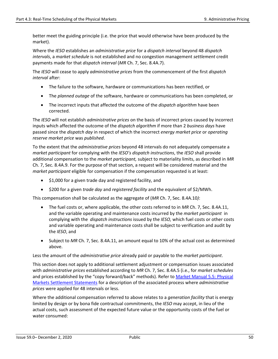better meet the guiding principle (i.e. the price that would otherwise have been produced by the market).

Where the *IESO* establishes an *administrative price* for a *dispatch interval* beyond 48 *dispatch intervals*, a *market schedule* is not established and no congestion management *settlement* credit payments made for that *dispatch interval* (*MR* Ch. 7, Sec. 8.4A.7).

The *IESO* will cease to apply *administrative prices* from the commencement of the first *dispatch interval* after:

- The failure to the software, hardware or communications has been rectified, or
- The *planned outage* of the software, hardware or communications has been completed, or
- The incorrect inputs that affected the outcome of the *dispatch algorithm* have been corrected.

The *IESO* will not establish *administrative prices* on the basis of incorrect prices caused by incorrect inputs which affected the outcome of the *dispatch algorithm* if more than 2 *business days* have passed since the *dispatch day* in respect of which the incorrect *energy market price* or *operating reserve market price* was *published*.

To the extent that the *administrative prices* beyond 48 intervals do not adequately compensate a *market participant* for complying with the *IESO's dispatch instructions*, the *IESO* shall provide additional compensation to the *market participant,* subject to materiality limits, as described in *MR* Ch. 7, Sec. 8.4A.9. For the purpose of that section, a request will be considered material and the *market participant* eligible for compensation if the compensation requested is at least:

- \$1,000 for a given trade day and registered facility, and
- \$200 for a given *trade day* and *registered facility* and the equivalent of \$2/MWh.

This compensation shall be calculated as the aggregate of (*MR* Ch. 7, Sec. 8.4A.10*)*:

- The fuel costs or, where applicable, the other costs referred to in *MR* Ch. 7, Sec. 8.4A.11, and the variable operating and maintenance costs incurred by the *market participant* in complying with the *dispatch instructions* issued by the *IESO,* which fuel costs or other costs and variable operating and maintenance costs shall be subject to verification and audit by the *IESO*, and
- Subject to *MR* Ch. 7, Sec. 8.4A.11, an amount equal to 10% of the actual cost as determined above.

Less the amount of the *administrative price* already paid or payable to the *market participant*.

This section does not apply to additional settlement adjustment or compensation issues associated with *administrative prices* established according to *MR* Ch. 7, Sec. 8.4A.5 (i.e., for *market schedules*  and prices established by the "copy forward/back" methods). Refer to [Market Manual](http://www.ieso.ca/-/media/files/ieso/document-library/market-rules-and-manuals-library/market-manuals/settlements/se-rtestatements.pdf) 5.5: Physical [Markets Settlement Statements](http://www.ieso.ca/-/media/files/ieso/document-library/market-rules-and-manuals-library/market-manuals/settlements/se-rtestatements.pdf) for a description of the associated process where *administrative prices* were applied for 48 intervals or less.

Where the additional compensation referred to above relates to a *generation facility* that is energy limited by design or by bona fide contractual commitments, the *IESO* may accept, in lieu of the actual costs, such assessment of the expected future value or the opportunity costs of the fuel or water consumed: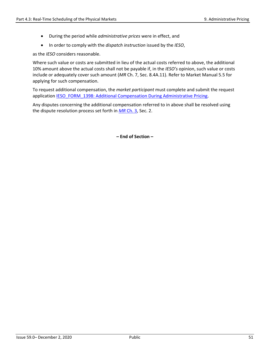- During the period while *administrative prices* were in effect, and
- In order to comply with the *dispatch instruction* issued by the *IESO*,

as the *IESO* considers reasonable.

Where such value or costs are submitted in lieu of the actual costs referred to above, the additional 10% amount above the actual costs shall not be payable if, in the *IESO's* opinion, such value or costs include or adequately cover such amount (*MR* Ch. 7, Sec. 8.4A.11). Refer to Market Manual 5.5 for applying for such compensation.

To request additional compensation, the *market participant* must complete and submit the request application [IESO\\_FORM\\_1398: Additional Compensation During Administrative Pricing.](http://www.ieso.ca/Sector%20Participants/Market%20Operations/-/media/8f07ca8feacf4483a96c93d4f1af2cc3.ashx)

Any disputes concerning the additional compensation referred to in above shall be resolved using the dispute resolution process set forth in *MR* [Ch. 3,](http://www.ieso.ca/-/media/files/ieso/document-library/market-rules-and-manuals-library/market-rules/mr-chapter3.pdf) Sec. 2.

**– End of Section –**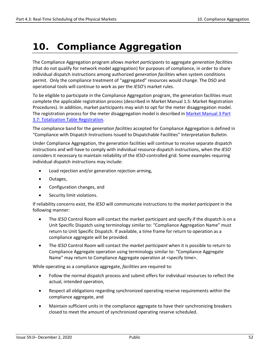## <span id="page-58-0"></span>**10. Compliance Aggregation**

The Compliance Aggregation program allows *market participants* to aggregate *generation facilities* (that do not qualify for network model aggregation) for purposes of compliance, in order to share individual dispatch instructions among authorized *generation facilities* when system conditions permit. Only the compliance treatment of "aggregated" resources would change. The DSO and operational tools will continue to work as per the *IESO's* market rules.

To be eligible to participate in the Compliance Aggregation program, the generation facilities must complete the applicable registration process (described in Market Manual 1.5: Market Registration Procedures). In addition, market participants may wish to opt for the meter disaggregation model. The registration process for the meter disaggregation model is described in [Market Manual 3 Part](http://www.ieso.ca/-/media/files/ieso/document-library/market-rules-and-manuals-library/market-manuals/metering/mtr-totalization.pdf)  [3.7: Totalization Table Registration.](http://www.ieso.ca/-/media/files/ieso/document-library/market-rules-and-manuals-library/market-manuals/metering/mtr-totalization.pdf)

The compliance band for the *generation facilities* accepted for Compliance Aggregation is defined in "Compliance with Dispatch Instructions Issued to Dispatchable Facilities" Interpretation Bulletin.

Under Compliance Aggregation, the generation facilities will continue to receive separate dispatch instructions and will have to comply with individual resource dispatch instructions, when the *IESO* considers it necessary to maintain reliability of the *IESO*-controlled grid. Some examples requiring individual dispatch instructions may include:

- Load rejection and/or generation rejection arming,
- Outages,
- Configuration changes, and
- Security limit violations.

If reliability concerns exist, the *IESO* will communicate instructions to the *market participant* in the following manner:

- The *IESO* Control Room will contact the market participant and specify if the dispatch is on a Unit Specific Dispatch using terminology similar to: "Compliance Aggregation Name" must return to Unit Specific Dispatch. If available, a time frame for return to operation as a compliance aggregate will be provided.
- The *IESO* Control Room will contact the *market participant* when it is possible to return to Compliance Aggregate operation using terminology similar to: "Compliance Aggregate Name" may return to Compliance Aggregate operation at <specify time>.

While operating as a compliance aggregate, *facilities* are required to:

- Follow the normal dispatch process and submit offers for individual resources to reflect the actual, intended operation,
- Respect all obligations regarding synchronized operating reserve requirements within the compliance aggregate, and
- Maintain sufficient units in the compliance aggregate to have their synchronizing breakers closed to meet the amount of synchronized operating reserve scheduled.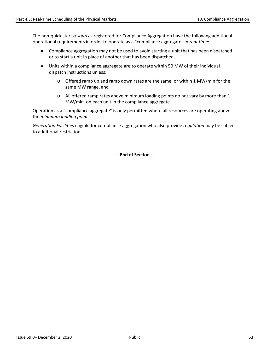The non-quick start *resources* registered for Compliance Aggregation have the following additional operational requirements in order to operate as a "compliance aggregate" in *real-time*:

- Compliance aggregation may not be used to avoid starting a unit that has been dispatched or to start a unit in place of another that has been dispatched.
- Units within a compliance aggregate are to operate within 50 MW of their individual dispatch instructions unless:
	- $\circ$  Offered ramp up and ramp down rates are the same, or within 1 MW/min for the same MW range, and
	- o All offered ramp rates above minimum loading points do not vary by more than 1 MW/min. on each unit in the compliance aggregate.

Operation as a "compliance aggregate" is only permitted where all resources are operating above the *minimum loading point.*

*Generation Facilities* eligible for compliance aggregation who also provide *regulation* may be subject to additional restrictions.

**– End of Section –**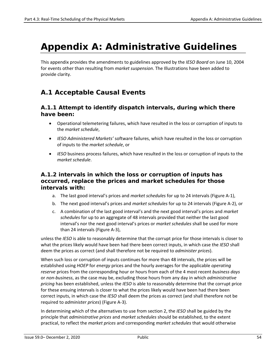## <span id="page-60-0"></span>**Appendix A: Administrative Guidelines**

This appendix provides the amendments to guidelines approved by the *IESO Board* on June 10, 2004 for events other than resulting from *market suspension*. The Illustrations have been added to provide clarity.

## **A.1 Acceptable Causal Events**

#### **A.1.1 Attempt to identify dispatch intervals, during which there have been:**

- Operational telemetering failures, which have resulted in the loss or corruption of inputs to the *market schedule*,
- *IESO Administered Markets'* software failures, which have resulted in the loss or corruption of inputs to the *market schedule*, or
- *IESO* business process failures, which have resulted in the loss or corruption of inputs to the *market schedule*.

#### **A.1.2 intervals in which the loss or corruption of inputs has occurred, replace the prices and market schedules for those intervals with:**

- a. The last good interval's prices and *market schedules* for up to 24 intervals (Figure A-1),
- b. The next good interval's prices and *market schedules* for up to 24 intervals (Figure A-2), or
- c. A combination of the last good interval's and the next good interval's prices and *market schedules* for up to an aggregate of 48 intervals provided that neither the last good interval's nor the next good interval's prices or *market schedules* shall be used for more than 24 intervals (Figure A-3),

unless the *IESO* is able to reasonably determine that the corrupt price for those intervals is closer to what the prices likely would have been had there been correct inputs, in which case the *IESO* shall deem the prices as correct (and shall therefore not be required to *administer prices*).

When such loss or corruption of inputs continues for more than 48 intervals, the prices will be established using *HOEP* for *energy* prices and the hourly averages for the applicable *operating reserve* prices from the corresponding hour or hours from each of the 4 most recent *business days* or *non-business*, as the case may be, excluding those hours from any day in which *administrative pricing* has been established, unless the *IESO* is able to reasonably determine that the corrupt price for these ensuing intervals is closer to what the prices likely would have been had there been correct inputs, in which case the *IESO* shall deem the prices as correct (and shall therefore not be required to *administer prices*) (Figure A-3).

In determining which of the alternatives to use from section 2, the *IESO* shall be guided by the principle that *administrative prices* and *market schedules* should be established, to the extent practical, to reflect the *market prices* and corresponding *market schedules* that would otherwise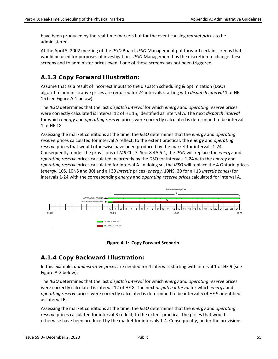have been produced by the real-time markets but for the event causing *market prices* to be administered.

At the April 5, 2002 meeting of the *IESO* Board, *IESO* Management put forward certain screens that would be used for purposes of investigation. *IESO* Management has the discretion to change these screens and to administer prices even if one of these screens has not been triggered.

### **A.1.3 Copy Forward Illustration:**

Assume that as a result of incorrect inputs to the dispatch scheduling & optimization (DSO) algorithm administrative prices are required for 24 intervals starting with *dispatch interval* 1 of HE 16 (see Figure A-1 below).

The *IESO* determines that the last *dispatch interval* for which *energy* and *operating reserve* prices were correctly calculated is interval 12 of HE 15, identified as interval A. The next *dispatch interval* for which *energy* and *operating reserve* prices were correctly calculated is determined to be interval 1 of HE 18.

Assessing the market conditions at the time, the *IESO* determines that the *energy* and *operating reserve* prices calculated for interval A reflect, to the extent practical, the *energy* and *operating reserve* prices that would otherwise have been produced by the market for intervals 1-24. Consequently, under the provisions of *MR* Ch. 7, Sec. 8.4A.5.1, the *IESO* will replace the *energy* and *operating reserve* prices calculated incorrectly by the DSO for intervals 1-24 with the *energy* and *operating reserve* prices calculated for interval A. In doing so, the *IESO* will replace the 4 Ontario prices (*energy*, 10S, 10NS and 30) and all 39 *intertie* prices (*energy*, 10NS, 30 for all 13 *intertie zones*) for intervals 1-24 with the corresponding *energy* and *operating reserve prices* calculated for interval A.





### <span id="page-61-0"></span>**A.1.4 Copy Backward Illustration:**

In this example, *administrative prices* are needed for 4 intervals starting with interval 1 of HE 9 (see Figure A-2 below).

The *IESO* determines that the last *dispatch interval* for which *energy* and *operating reserve* prices were correctly calculated is interval 12 of HE 8. The next *dispatch interval* for which *energy* and *operating reserve* prices were correctly calculated is determined to be interval 5 of HE 9, identified as interval B.

Assessing the market conditions at the time, the *IESO* determines that the *energy* and *operating reserve* prices calculated for interval B reflect, to the extent practical, the prices that would otherwise have been produced by the market for intervals 1-4. Consequently, under the provisions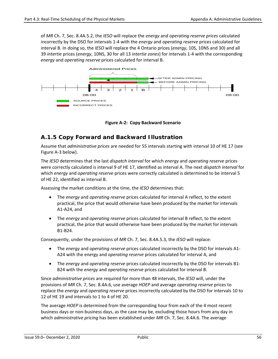of *MR* Ch. 7, Sec. 8.4A.5.2, the *IESO* will replace the *energy* and *operating reserve prices* calculated incorrectly by the DSO for intervals 1-4 with the *energy* and *operating reserve* prices calculated for interval B. In doing so, the *IESO* will replace the 4 Ontario prices (*energy*, 10S, 10NS and 30) and all 39 *intertie* prices (*energy*, 10NS, 30 for all 13 *intertie zones*) for intervals 1-4 with the corresponding *energy* and *operating reserve* prices calculated for interval B.



**Figure A-2: Copy Backward Scenario**

### <span id="page-62-0"></span>**A.1.5 Copy Forward and Backward Illustration**

Assume that *administrative prices* are needed for 55 intervals starting with interval 10 of HE 17 (see Figure A-3 below).

The *IESO* determines that the last *dispatch interval* for which *energy* and *operating reserve* prices were correctly calculated is interval 9 of HE 17, identified as interval A. The next *dispatch interval* for which *energy* and *operating reserve* prices were correctly calculated is determined to be interval 5 of HE 22, identified as interval B.

Assessing the market conditions at the time, the *IESO* determines that:

- The *energy* and *operating reserve* prices calculated for interval A reflect, to the extent practical, the price that would otherwise have been produced by the market for intervals A1-A24, and
- The *energy* and *operating reserve* prices calculated for interval B reflect, to the extent practical, the price that would otherwise have been produced by the market for intervals B1-B24.

Consequently, under the provisions of *MR* Ch. 7, Sec. 8.4A.5.3, the *IESO* will replace:

- The *energy* and *operating reserve* prices calculated incorrectly by the DSO for intervals A1- A24 with the en*e*rgy and *operating reserve* prices calculated for interval A, and
- The *energy* and *operating reserve* prices calculated incorrectly by the DSO for intervals B1- B24 with the *energy* and *operating reserve* prices calculated for interval B.

Since *administrative prices* are required for more than 48 intervals, the *IESO* will, under the provisions of *MR* Ch. 7, Sec. 8.4A.6, use average *HOEP* and average *operating reserve* prices to replace the *energy* and *operating reserve* prices incorrectly calculated by the DSO for intervals 10 to 12 of HE 19 and intervals to 1 to 4 of HE 20.

The average *HOEP* is determined from the corresponding hour from each of the 4 most recent business days or non-business days, as the case may be, excluding those hours from any day in which *administrative pricing* has been established under *MR* Ch. 7, Sec. 8.4A.6. The average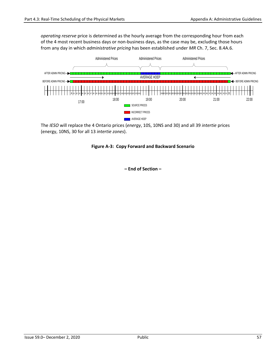*operating reserve* price is determined as the hourly average from the corresponding hour from each of the 4 most recent business days or non-business days, as the case may be, excluding those hours from any day in which *administrative pricing* has been established under *MR* Ch. 7, Sec. 8.4A.6.



<span id="page-63-0"></span>The *IESO* will replace the 4 Ontario prices (*energy*, 10S, 10NS and 30) and all 39 *intertie* prices (energy, 10NS, 30 for all 13 *intertie zones*).

#### **Figure A-3: Copy Forward and Backward Scenario**

**– End of Section –**